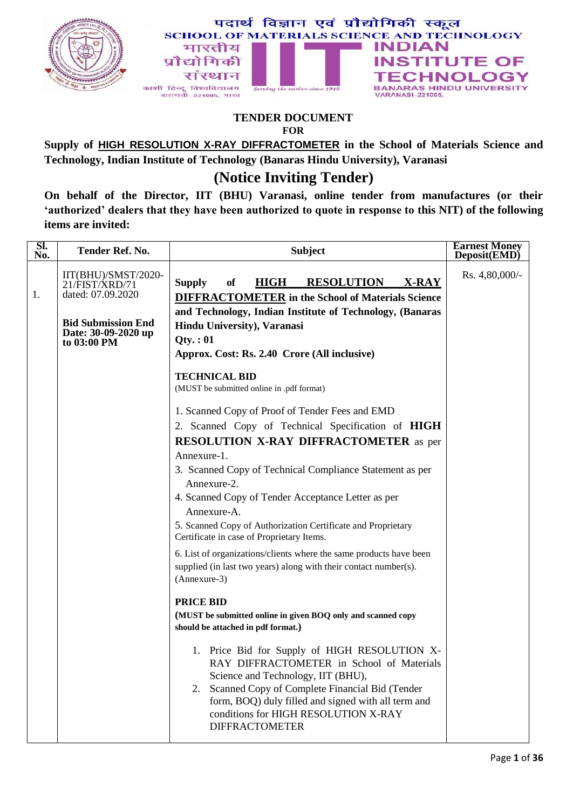



#### **TENDER DOCUMENT FOR**

**Supply of HIGH RESOLUTION X-RAY DIFFRACTOMETER in the School of Materials Science and Technology, Indian Institute of Technology (Banaras Hindu University), Varanasi**

## **(Notice Inviting Tender)**

**On behalf of the Director, IIT (BHU) Varanasi, online tender from manufactures (or their "authorized" dealers that they have been authorized to quote in response to this NIT) of the following items are invited:**

| SI.<br>No. | <b>Tender Ref. No.</b>                                          | <b>Subject</b>                                                                                                                                                                                                                                                                                                                                                                                                                                                                                                                                                                                                                                                                                                                                                                                                                                                                                                                                                                                     | <b>Earnest Money</b><br>Deposit(EMD) |
|------------|-----------------------------------------------------------------|----------------------------------------------------------------------------------------------------------------------------------------------------------------------------------------------------------------------------------------------------------------------------------------------------------------------------------------------------------------------------------------------------------------------------------------------------------------------------------------------------------------------------------------------------------------------------------------------------------------------------------------------------------------------------------------------------------------------------------------------------------------------------------------------------------------------------------------------------------------------------------------------------------------------------------------------------------------------------------------------------|--------------------------------------|
| 1.         | IIT(BHU)/SMST/2020-<br>21/FIST/XRD/71<br>dated: 07.09.2020      | <b>HIGH</b><br><b>RESOLUTION</b><br><b>Supply</b><br>of<br>X-RAY<br><b>DIFFRACTOMETER</b> in the School of Materials Science                                                                                                                                                                                                                                                                                                                                                                                                                                                                                                                                                                                                                                                                                                                                                                                                                                                                       | Rs. 4,80,000/-                       |
|            | <b>Bid Submission End</b><br>Date: 30-09-2020 up<br>to 03:00 PM | and Technology, Indian Institute of Technology, (Banaras<br>Hindu University), Varanasi<br>Qty.:01<br>Approx. Cost: Rs. 2.40 Crore (All inclusive)<br><b>TECHNICAL BID</b><br>(MUST be submitted online in .pdf format)<br>1. Scanned Copy of Proof of Tender Fees and EMD<br>2. Scanned Copy of Technical Specification of HIGH<br><b>RESOLUTION X-RAY DIFFRACTOMETER</b> as per<br>Annexure-1.<br>3. Scanned Copy of Technical Compliance Statement as per<br>Annexure-2.<br>4. Scanned Copy of Tender Acceptance Letter as per<br>Annexure-A.<br>5. Scanned Copy of Authorization Certificate and Proprietary<br>Certificate in case of Proprietary Items.<br>6. List of organizations/clients where the same products have been<br>supplied (in last two years) along with their contact number(s).<br>(Annexure-3)<br><b>PRICE BID</b><br>(MUST be submitted online in given BOQ only and scanned copy<br>should be attached in pdf format.)<br>1. Price Bid for Supply of HIGH RESOLUTION X- |                                      |
|            |                                                                 | RAY DIFFRACTOMETER in School of Materials<br>Science and Technology, IIT (BHU),<br>Scanned Copy of Complete Financial Bid (Tender<br>2.<br>form, BOQ) duly filled and signed with all term and<br>conditions for HIGH RESOLUTION X-RAY<br><b>DIFFRACTOMETER</b>                                                                                                                                                                                                                                                                                                                                                                                                                                                                                                                                                                                                                                                                                                                                    |                                      |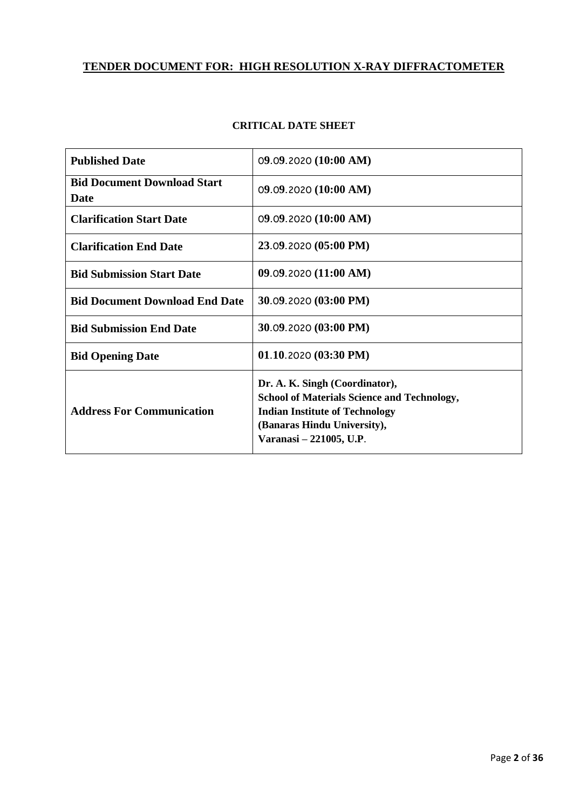## **TENDER DOCUMENT FOR: HIGH RESOLUTION X-RAY DIFFRACTOMETER**

| <b>Published Date</b>                             | 09.09.2020 (10:00 AM)                                                                                                                                                                   |
|---------------------------------------------------|-----------------------------------------------------------------------------------------------------------------------------------------------------------------------------------------|
| <b>Bid Document Download Start</b><br><b>Date</b> | 09.09.2020(10:00 AM)                                                                                                                                                                    |
| <b>Clarification Start Date</b>                   | 09.09.2020(10:00 AM)                                                                                                                                                                    |
| <b>Clarification End Date</b>                     | 23.09.2020 (05:00 PM)                                                                                                                                                                   |
| <b>Bid Submission Start Date</b>                  | 09.09.2020(11:00 AM)                                                                                                                                                                    |
| <b>Bid Document Download End Date</b>             | 30.09.2020 (03:00 PM)                                                                                                                                                                   |
| <b>Bid Submission End Date</b>                    | 30.09.2020 (03:00 PM)                                                                                                                                                                   |
| <b>Bid Opening Date</b>                           | 01.10.2020(03:30 PM)                                                                                                                                                                    |
| <b>Address For Communication</b>                  | Dr. A. K. Singh (Coordinator),<br><b>School of Materials Science and Technology,</b><br><b>Indian Institute of Technology</b><br>(Banaras Hindu University),<br>Varanasi – 221005, U.P. |

## **CRITICAL DATE SHEET**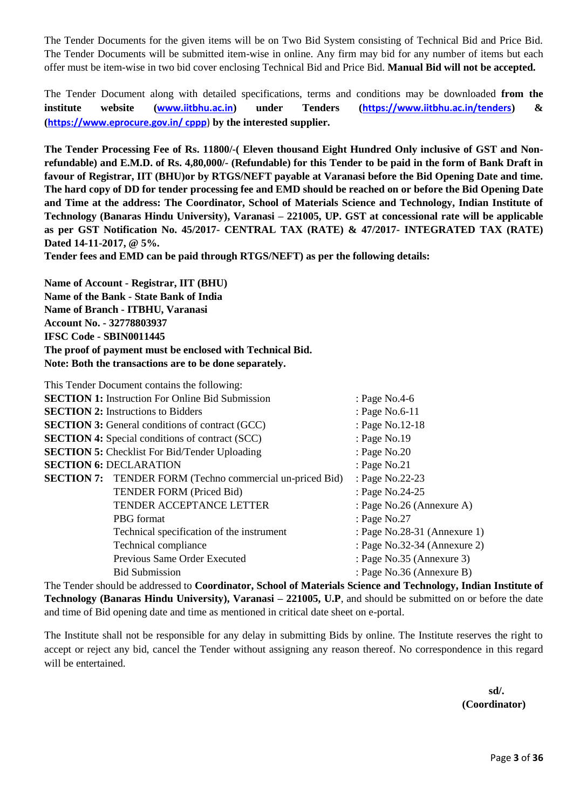The Tender Documents for the given items will be on Two Bid System consisting of Technical Bid and Price Bid. The Tender Documents will be submitted item-wise in online. Any firm may bid for any number of items but each offer must be item-wise in two bid cover enclosing Technical Bid and Price Bid. **Manual Bid will not be accepted.**

The Tender Document along with detailed specifications, terms and conditions may be downloaded **from the institute website ([www.iitbhu.ac.in](http://www.iitbhu.ac.in/)) under Tenders (<https://www.iitbhu.ac.in/tenders>) & ([https://www.eprocure.gov.in/ cppp](https://www.eprocure.gov.in/%20cppp)**) **by the interested supplier.**

**The Tender Processing Fee of Rs. 11800/-( Eleven thousand Eight Hundred Only inclusive of GST and Nonrefundable) and E.M.D. of Rs. 4,80,000/- (Refundable) for this Tender to be paid in the form of Bank Draft in favour of Registrar, IIT (BHU)or by RTGS/NEFT payable at Varanasi before the Bid Opening Date and time. The hard copy of DD for tender processing fee and EMD should be reached on or before the Bid Opening Date and Time at the address: The Coordinator, School of Materials Science and Technology, Indian Institute of Technology (Banaras Hindu University), Varanasi – 221005, UP. GST at concessional rate will be applicable as per GST Notification No. 45/2017- CENTRAL TAX (RATE) & 47/2017- INTEGRATED TAX (RATE) Dated 14-11-2017, @ 5%.**

**Tender fees and EMD can be paid through RTGS/NEFT) as per the following details:** 

**Name of Account - Registrar, IIT (BHU) Name of the Bank - State Bank of India Name of Branch - ITBHU, Varanasi Account No. - 32778803937 IFSC Code - SBIN0011445 The proof of payment must be enclosed with Technical Bid. Note: Both the transactions are to be done separately.**

| This Tender Document contains the following:                    |                              |
|-----------------------------------------------------------------|------------------------------|
| <b>SECTION 1:</b> Instruction For Online Bid Submission         | : Page No.4-6                |
| <b>SECTION 2:</b> Instructions to Bidders                       | : Page No.6-11               |
| <b>SECTION 3:</b> General conditions of contract (GCC)          | : Page No.12-18              |
| <b>SECTION 4:</b> Special conditions of contract (SCC)          | : Page No.19                 |
| <b>SECTION 5:</b> Checklist For Bid/Tender Uploading            | : Page $No.20$               |
| <b>SECTION 6: DECLARATION</b>                                   | : Page $No.21$               |
| <b>SECTION 7:</b> TENDER FORM (Techno commercial un-priced Bid) | : Page No.22-23              |
| TENDER FORM (Priced Bid)                                        | : Page No.24-25              |
| TENDER ACCEPTANCE LETTER                                        | : Page No.26 (Annexure A)    |
| PBG format                                                      | : Page No.27                 |
| Technical specification of the instrument                       | : Page No.28-31 (Annexure 1) |
| Technical compliance                                            | : Page No.32-34 (Annexure 2) |
| Previous Same Order Executed                                    | : Page No.35 (Annexure 3)    |
| <b>Bid Submission</b>                                           | : Page No.36 (Annexure B)    |

The Tender should be addressed to **Coordinator, School of Materials Science and Technology, Indian Institute of Technology (Banaras Hindu University), Varanasi – 221005, U.P., and should be submitted on or before the date** and time of Bid opening date and time as mentioned in critical date sheet on e-portal.

The Institute shall not be responsible for any delay in submitting Bids by online. The Institute reserves the right to accept or reject any bid, cancel the Tender without assigning any reason thereof. No correspondence in this regard will be entertained.

> **sd/. (Coordinator)**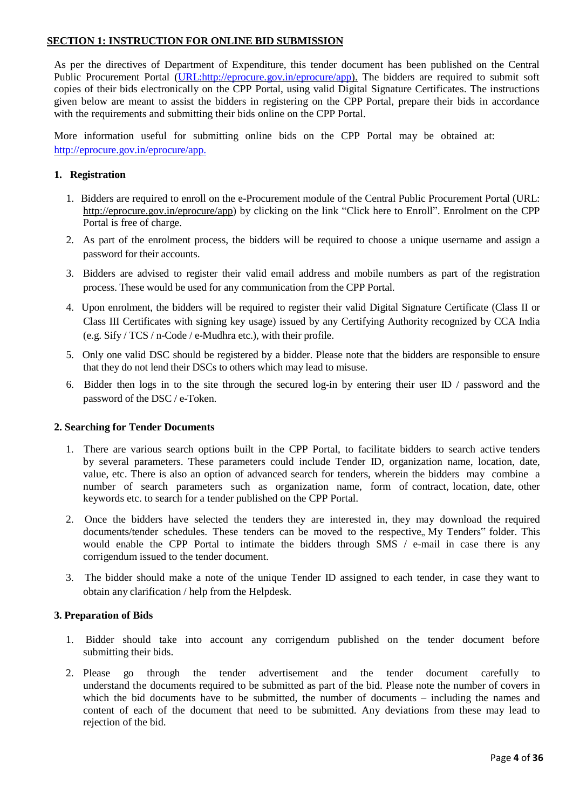#### **SECTION 1: INSTRUCTION FOR ONLINE BID SUBMISSION**

As per the directives of Department of Expenditure, this tender document has been published on the Central Public Procurement Portal [\(URL:http://eprocure.gov.in/eprocure/app\)](http://eprocure.gov.in/eprocure/app). The bidders are required to submit soft copies of their bids electronically on the CPP Portal, using valid Digital Signature Certificates. The instructions given below are meant to assist the bidders in registering on the CPP Portal, prepare their bids in accordance with the requirements and submitting their bids online on the CPP Portal.

More information useful for submitting online bids on the CPP Portal may be obtained at: <http://eprocure.gov.in/eprocure/app.>

#### **1. Registration**

- 1. Bidders are required to enroll on the e-Procurement module of the Central Public Procurement Portal (URL: [http://eprocure.gov.in/eprocure/app\)](http://eprocure.gov.in/eprocure/app) by clicking on the link "Click here to Enroll". Enrolment on the CPP Portal is free of charge.
- 2. As part of the enrolment process, the bidders will be required to choose a unique username and assign a password for their accounts.
- 3. Bidders are advised to register their valid email address and mobile numbers as part of the registration process. These would be used for any communication from the CPP Portal.
- 4. Upon enrolment, the bidders will be required to register their valid Digital Signature Certificate (Class II or Class III Certificates with signing key usage) issued by any Certifying Authority recognized by CCA India (e.g. Sify / TCS / n-Code / e-Mudhra etc.), with their profile.
- 5. Only one valid DSC should be registered by a bidder. Please note that the bidders are responsible to ensure that they do not lend their DSCs to others which may lead to misuse.
- 6. Bidder then logs in to the site through the secured log-in by entering their user ID / password and the password of the DSC / e-Token.

#### **2. Searching for Tender Documents**

- 1. There are various search options built in the CPP Portal, to facilitate bidders to search active tenders by several parameters. These parameters could include Tender ID, organization name, location, date, value, etc. There is also an option of advanced search for tenders, wherein the bidders may combine a number of search parameters such as organization name, form of contract, location, date, other keywords etc. to search for a tender published on the CPP Portal.
- 2. Once the bidders have selected the tenders they are interested in, they may download the required documents/tender schedules. These tenders can be moved to the respective, My Tenders" folder. This would enable the CPP Portal to intimate the bidders through SMS / e-mail in case there is any corrigendum issued to the tender document.
- 3. The bidder should make a note of the unique Tender ID assigned to each tender, in case they want to obtain any clarification / help from the Helpdesk.

#### **3. Preparation of Bids**

- 1. Bidder should take into account any corrigendum published on the tender document before submitting their bids.
- 2. Please go through the tender advertisement and the tender document carefully to understand the documents required to be submitted as part of the bid. Please note the number of covers in which the bid documents have to be submitted, the number of documents – including the names and content of each of the document that need to be submitted. Any deviations from these may lead to rejection of the bid.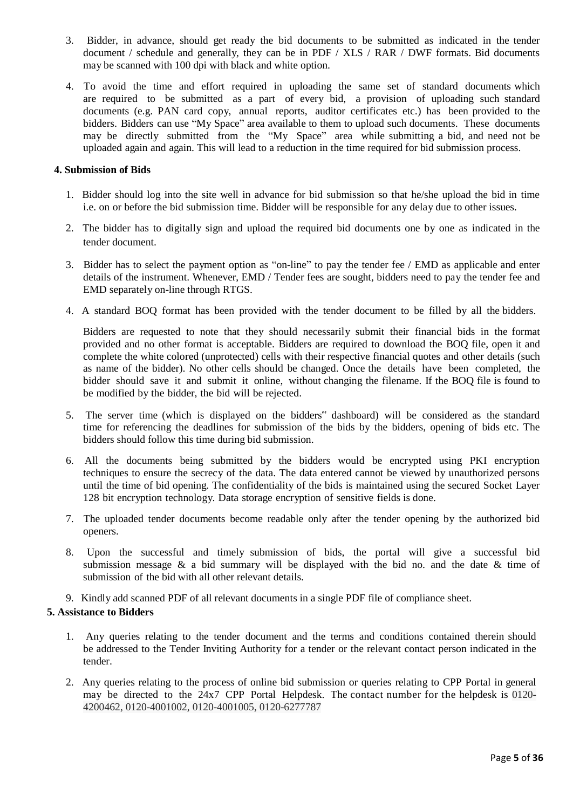- 3. Bidder, in advance, should get ready the bid documents to be submitted as indicated in the tender document / schedule and generally, they can be in PDF / XLS / RAR / DWF formats. Bid documents may be scanned with 100 dpi with black and white option.
- 4. To avoid the time and effort required in uploading the same set of standard documents which are required to be submitted as a part of every bid, a provision of uploading such standard documents (e.g. PAN card copy, annual reports, auditor certificates etc.) has been provided to the bidders. Bidders can use "My Space" area available to them to upload such documents. These documents may be directly submitted from the "My Space" area while submitting a bid, and need not be uploaded again and again. This will lead to a reduction in the time required for bid submission process.

#### **4. Submission of Bids**

- 1. Bidder should log into the site well in advance for bid submission so that he/she upload the bid in time i.e. on or before the bid submission time. Bidder will be responsible for any delay due to other issues.
- 2. The bidder has to digitally sign and upload the required bid documents one by one as indicated in the tender document.
- 3. Bidder has to select the payment option as "on-line" to pay the tender fee / EMD as applicable and enter details of the instrument. Whenever, EMD / Tender fees are sought, bidders need to pay the tender fee and EMD separately on-line through RTGS.
- 4. A standard BOQ format has been provided with the tender document to be filled by all the bidders.

Bidders are requested to note that they should necessarily submit their financial bids in the format provided and no other format is acceptable. Bidders are required to download the BOQ file, open it and complete the white colored (unprotected) cells with their respective financial quotes and other details (such as name of the bidder). No other cells should be changed. Once the details have been completed, the bidder should save it and submit it online, without changing the filename. If the BOQ file is found to be modified by the bidder, the bid will be rejected.

- 5. The server time (which is displayed on the bidders" dashboard) will be considered as the standard time for referencing the deadlines for submission of the bids by the bidders, opening of bids etc. The bidders should follow this time during bid submission.
- 6. All the documents being submitted by the bidders would be encrypted using PKI encryption techniques to ensure the secrecy of the data. The data entered cannot be viewed by unauthorized persons until the time of bid opening. The confidentiality of the bids is maintained using the secured Socket Layer 128 bit encryption technology. Data storage encryption of sensitive fields is done.
- 7. The uploaded tender documents become readable only after the tender opening by the authorized bid openers.
- 8. Upon the successful and timely submission of bids, the portal will give a successful bid submission message  $\&$  a bid summary will be displayed with the bid no. and the date  $\&$  time of submission of the bid with all other relevant details.
- 9. Kindly add scanned PDF of all relevant documents in a single PDF file of compliance sheet.

#### **5. Assistance to Bidders**

- 1. Any queries relating to the tender document and the terms and conditions contained therein should be addressed to the Tender Inviting Authority for a tender or the relevant contact person indicated in the tender.
- 2. Any queries relating to the process of online bid submission or queries relating to CPP Portal in general may be directed to the 24x7 CPP Portal Helpdesk. The contact number for the helpdesk is 0120- 4200462, 0120-4001002, 0120-4001005, 0120-6277787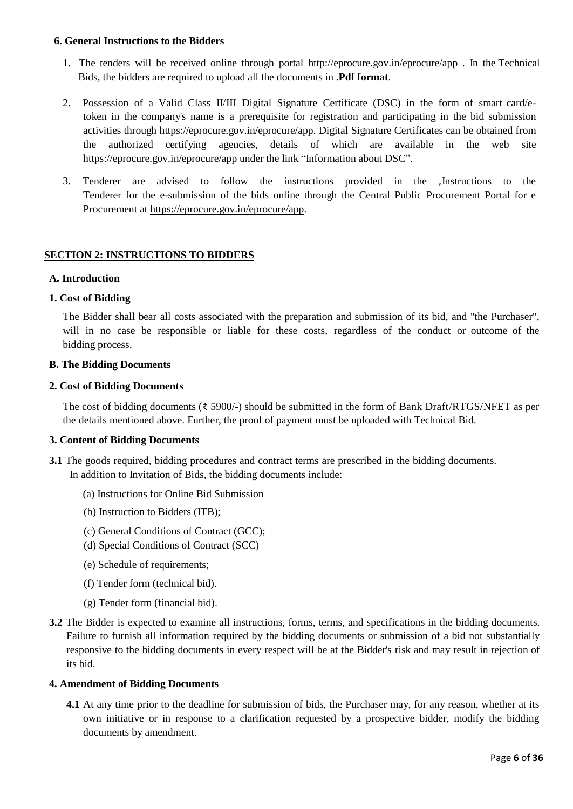#### **6. General Instructions to the Bidders**

- 1. The tenders will be received online through portal <http://eprocure.gov.in/eprocure/app> . In the Technical Bids, the bidders are required to upload all the documents in **.Pdf format**.
- 2. Possession of a Valid Class II/III Digital Signature Certificate (DSC) in the form of smart card/etoken in the company's name is a prerequisite for registration and participating in the bid submission activities through https://eprocure.gov.in/eprocure/app. Digital Signature Certificates can be obtained from the authorized certifying agencies, details of which are available in the web site https://eprocure.gov.in/eprocure/app under the link "Information about DSC".
- 3. Tenderer are advised to follow the instructions provided in the "Instructions to the Tenderer for the e-submission of the bids online through the Central Public Procurement Portal for e Procurement [at https://eprocure.gov.in/eprocure/app.](https://eprocure.gov.in/eprocure/app)

#### **SECTION 2: INSTRUCTIONS TO BIDDERS**

#### **A. Introduction**

#### **1. Cost of Bidding**

The Bidder shall bear all costs associated with the preparation and submission of its bid, and "the Purchaser", will in no case be responsible or liable for these costs, regardless of the conduct or outcome of the bidding process.

#### **B. The Bidding Documents**

#### **2. Cost of Bidding Documents**

The cost of bidding documents (₹ 5900/-) should be submitted in the form of Bank Draft/RTGS/NFET as per the details mentioned above. Further, the proof of payment must be uploaded with Technical Bid.

#### **3. Content of Bidding Documents**

- **3.1** The goods required, bidding procedures and contract terms are prescribed in the bidding documents. In addition to Invitation of Bids, the bidding documents include:
	- (a) Instructions for Online Bid Submission
	- (b) Instruction to Bidders (ITB);
	- (c) General Conditions of Contract (GCC);
	- (d) Special Conditions of Contract (SCC)
	- (e) Schedule of requirements;
	- (f) Tender form (technical bid).
	- (g) Tender form (financial bid).
- **3.2** The Bidder is expected to examine all instructions, forms, terms, and specifications in the bidding documents. Failure to furnish all information required by the bidding documents or submission of a bid not substantially responsive to the bidding documents in every respect will be at the Bidder's risk and may result in rejection of its bid.

#### **4. Amendment of Bidding Documents**

**4.1** At any time prior to the deadline for submission of bids, the Purchaser may, for any reason, whether at its own initiative or in response to a clarification requested by a prospective bidder, modify the bidding documents by amendment.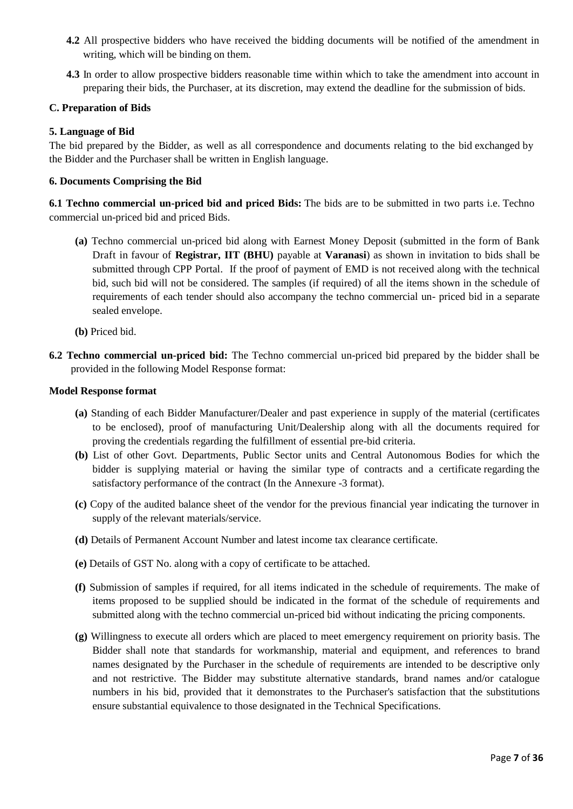- **4.2** All prospective bidders who have received the bidding documents will be notified of the amendment in writing, which will be binding on them.
- **4.3** In order to allow prospective bidders reasonable time within which to take the amendment into account in preparing their bids, the Purchaser, at its discretion, may extend the deadline for the submission of bids.

#### **C. Preparation of Bids**

#### **5. Language of Bid**

The bid prepared by the Bidder, as well as all correspondence and documents relating to the bid exchanged by the Bidder and the Purchaser shall be written in English language.

#### **6. Documents Comprising the Bid**

**6.1 Techno commercial un-priced bid and priced Bids:** The bids are to be submitted in two parts i.e. Techno commercial un-priced bid and priced Bids.

- **(a)** Techno commercial un-priced bid along with Earnest Money Deposit (submitted in the form of Bank Draft in favour of **Registrar, IIT (BHU)** payable at **Varanasi**) as shown in invitation to bids shall be submitted through CPP Portal. If the proof of payment of EMD is not received along with the technical bid, such bid will not be considered. The samples (if required) of all the items shown in the schedule of requirements of each tender should also accompany the techno commercial un- priced bid in a separate sealed envelope.
- **(b)** Priced bid.
- **6.2 Techno commercial un-priced bid:** The Techno commercial un-priced bid prepared by the bidder shall be provided in the following Model Response format:

#### **Model Response format**

- **(a)** Standing of each Bidder Manufacturer/Dealer and past experience in supply of the material (certificates to be enclosed), proof of manufacturing Unit/Dealership along with all the documents required for proving the credentials regarding the fulfillment of essential pre-bid criteria.
- **(b)** List of other Govt. Departments, Public Sector units and Central Autonomous Bodies for which the bidder is supplying material or having the similar type of contracts and a certificate regarding the satisfactory performance of the contract (In the Annexure -3 format).
- **(c)** Copy of the audited balance sheet of the vendor for the previous financial year indicating the turnover in supply of the relevant materials/service.
- **(d)** Details of Permanent Account Number and latest income tax clearance certificate.
- **(e)** Details of GST No. along with a copy of certificate to be attached.
- **(f)** Submission of samples if required, for all items indicated in the schedule of requirements. The make of items proposed to be supplied should be indicated in the format of the schedule of requirements and submitted along with the techno commercial un-priced bid without indicating the pricing components.
- **(g)** Willingness to execute all orders which are placed to meet emergency requirement on priority basis. The Bidder shall note that standards for workmanship, material and equipment, and references to brand names designated by the Purchaser in the schedule of requirements are intended to be descriptive only and not restrictive. The Bidder may substitute alternative standards, brand names and/or catalogue numbers in his bid, provided that it demonstrates to the Purchaser's satisfaction that the substitutions ensure substantial equivalence to those designated in the Technical Specifications.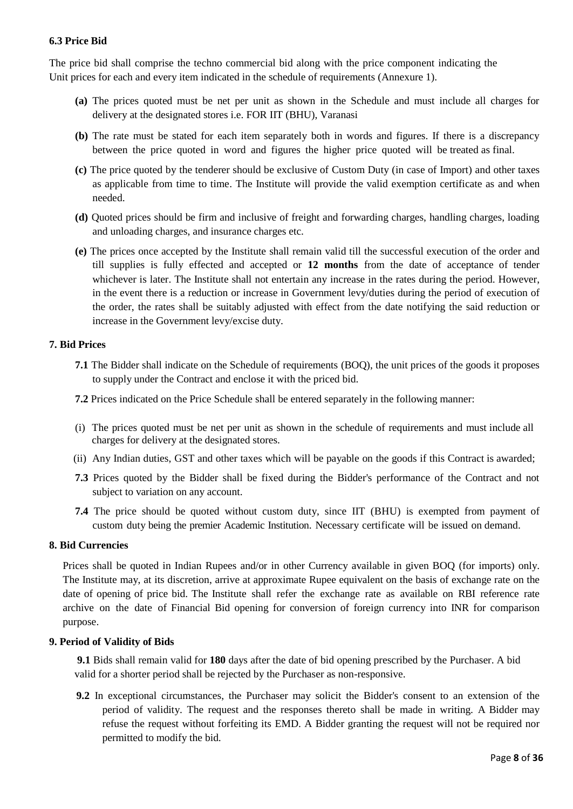#### **6.3 Price Bid**

The price bid shall comprise the techno commercial bid along with the price component indicating the Unit prices for each and every item indicated in the schedule of requirements (Annexure 1).

- **(a)** The prices quoted must be net per unit as shown in the Schedule and must include all charges for delivery at the designated stores i.e. FOR IIT (BHU), Varanasi
- **(b)** The rate must be stated for each item separately both in words and figures. If there is a discrepancy between the price quoted in word and figures the higher price quoted will be treated as final.
- **(c)** The price quoted by the tenderer should be exclusive of Custom Duty (in case of Import) and other taxes as applicable from time to time. The Institute will provide the valid exemption certificate as and when needed.
- **(d)** Quoted prices should be firm and inclusive of freight and forwarding charges, handling charges, loading and unloading charges, and insurance charges etc.
- **(e)** The prices once accepted by the Institute shall remain valid till the successful execution of the order and till supplies is fully effected and accepted or **12 months** from the date of acceptance of tender whichever is later. The Institute shall not entertain any increase in the rates during the period. However, in the event there is a reduction or increase in Government levy/duties during the period of execution of the order, the rates shall be suitably adjusted with effect from the date notifying the said reduction or increase in the Government levy/excise duty.

#### **7. Bid Prices**

- **7.1** The Bidder shall indicate on the Schedule of requirements (BOQ), the unit prices of the goods it proposes to supply under the Contract and enclose it with the priced bid.
- **7.2** Prices indicated on the Price Schedule shall be entered separately in the following manner:
- (i) The prices quoted must be net per unit as shown in the schedule of requirements and must include all charges for delivery at the designated stores.
- (ii) Any Indian duties, GST and other taxes which will be payable on the goods if this Contract is awarded;
- **7.3** Prices quoted by the Bidder shall be fixed during the Bidder's performance of the Contract and not subject to variation on any account.
- **7.4** The price should be quoted without custom duty, since IIT (BHU) is exempted from payment of custom duty being the premier Academic Institution. Necessary certificate will be issued on demand.

#### **8. Bid Currencies**

Prices shall be quoted in Indian Rupees and/or in other Currency available in given BOQ (for imports) only. The Institute may, at its discretion, arrive at approximate Rupee equivalent on the basis of exchange rate on the date of opening of price bid. The Institute shall refer the exchange rate as available on RBI reference rate archive on the date of Financial Bid opening for conversion of foreign currency into INR for comparison purpose.

#### **9. Period of Validity of Bids**

**9.1** Bids shall remain valid for **180** days after the date of bid opening prescribed by the Purchaser. A bid valid for a shorter period shall be rejected by the Purchaser as non-responsive.

**9.2** In exceptional circumstances, the Purchaser may solicit the Bidder's consent to an extension of the period of validity. The request and the responses thereto shall be made in writing. A Bidder may refuse the request without forfeiting its EMD. A Bidder granting the request will not be required nor permitted to modify the bid.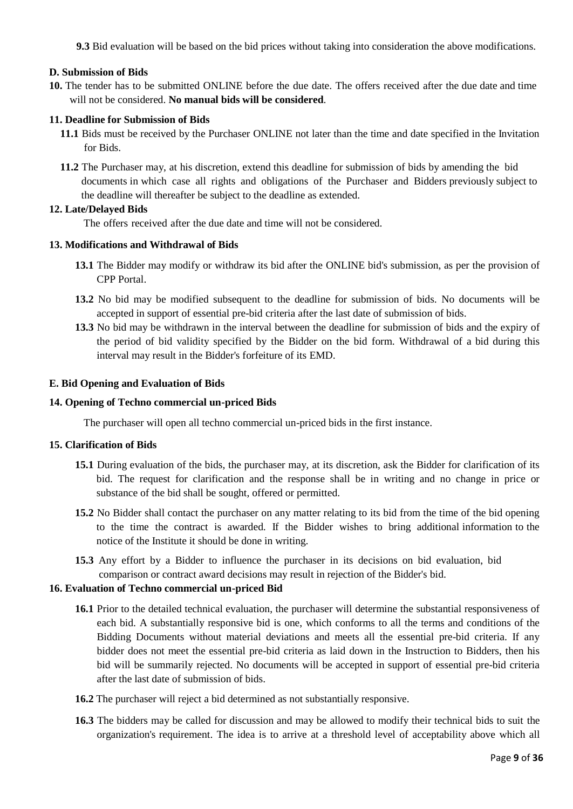**9.3** Bid evaluation will be based on the bid prices without taking into consideration the above modifications.

#### **D. Submission of Bids**

**10.** The tender has to be submitted ONLINE before the due date. The offers received after the due date and time will not be considered. **No manual bids will be considered**.

#### **11. Deadline for Submission of Bids**

- **11.1** Bids must be received by the Purchaser ONLINE not later than the time and date specified in the Invitation for Bids.
- **11.2** The Purchaser may, at his discretion, extend this deadline for submission of bids by amending the bid documents in which case all rights and obligations of the Purchaser and Bidders previously subject to the deadline will thereafter be subject to the deadline as extended.

#### **12. Late/Delayed Bids**

The offers received after the due date and time will not be considered.

#### **13. Modifications and Withdrawal of Bids**

- **13.1** The Bidder may modify or withdraw its bid after the ONLINE bid's submission, as per the provision of CPP Portal.
- **13.2** No bid may be modified subsequent to the deadline for submission of bids. No documents will be accepted in support of essential pre-bid criteria after the last date of submission of bids.
- **13.3** No bid may be withdrawn in the interval between the deadline for submission of bids and the expiry of the period of bid validity specified by the Bidder on the bid form. Withdrawal of a bid during this interval may result in the Bidder's forfeiture of its EMD.

#### **E. Bid Opening and Evaluation of Bids**

#### **14. Opening of Techno commercial un-priced Bids**

The purchaser will open all techno commercial un-priced bids in the first instance.

#### **15. Clarification of Bids**

- **15.1** During evaluation of the bids, the purchaser may, at its discretion, ask the Bidder for clarification of its bid. The request for clarification and the response shall be in writing and no change in price or substance of the bid shall be sought, offered or permitted.
- **15.2** No Bidder shall contact the purchaser on any matter relating to its bid from the time of the bid opening to the time the contract is awarded. If the Bidder wishes to bring additional information to the notice of the Institute it should be done in writing.
- **15.3** Any effort by a Bidder to influence the purchaser in its decisions on bid evaluation, bid comparison or contract award decisions may result in rejection of the Bidder's bid.

#### **16. Evaluation of Techno commercial un-priced Bid**

- **16.1** Prior to the detailed technical evaluation, the purchaser will determine the substantial responsiveness of each bid. A substantially responsive bid is one, which conforms to all the terms and conditions of the Bidding Documents without material deviations and meets all the essential pre-bid criteria. If any bidder does not meet the essential pre-bid criteria as laid down in the Instruction to Bidders, then his bid will be summarily rejected. No documents will be accepted in support of essential pre-bid criteria after the last date of submission of bids.
- **16.2** The purchaser will reject a bid determined as not substantially responsive.
- **16.3** The bidders may be called for discussion and may be allowed to modify their technical bids to suit the organization's requirement. The idea is to arrive at a threshold level of acceptability above which all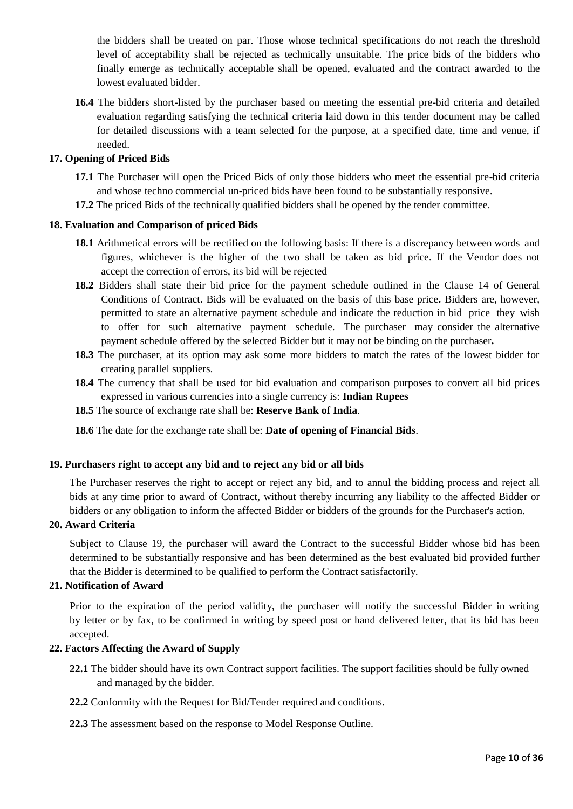the bidders shall be treated on par. Those whose technical specifications do not reach the threshold level of acceptability shall be rejected as technically unsuitable. The price bids of the bidders who finally emerge as technically acceptable shall be opened, evaluated and the contract awarded to the lowest evaluated bidder.

**16.4** The bidders short-listed by the purchaser based on meeting the essential pre-bid criteria and detailed evaluation regarding satisfying the technical criteria laid down in this tender document may be called for detailed discussions with a team selected for the purpose, at a specified date, time and venue, if needed.

#### **17. Opening of Priced Bids**

- **17.1** The Purchaser will open the Priced Bids of only those bidders who meet the essential pre-bid criteria and whose techno commercial un-priced bids have been found to be substantially responsive.
- **17.2** The priced Bids of the technically qualified bidders shall be opened by the tender committee.

#### **18. Evaluation and Comparison of priced Bids**

- **18.1** Arithmetical errors will be rectified on the following basis: If there is a discrepancy between words and figures, whichever is the higher of the two shall be taken as bid price. If the Vendor does not accept the correction of errors, its bid will be rejected
- **18.2** Bidders shall state their bid price for the payment schedule outlined in the Clause 14 of General Conditions of Contract. Bids will be evaluated on the basis of this base price**.** Bidders are, however, permitted to state an alternative payment schedule and indicate the reduction in bid price they wish to offer for such alternative payment schedule. The purchaser may consider the alternative payment schedule offered by the selected Bidder but it may not be binding on the purchaser**.**
- **18.3** The purchaser, at its option may ask some more bidders to match the rates of the lowest bidder for creating parallel suppliers.
- **18.4** The currency that shall be used for bid evaluation and comparison purposes to convert all bid prices expressed in various currencies into a single currency is: **Indian Rupees**
- **18.5** The source of exchange rate shall be: **Reserve Bank of India**.

**18.6** The date for the exchange rate shall be: **Date of opening of Financial Bids**.

#### **19. Purchasers right to accept any bid and to reject any bid or all bids**

The Purchaser reserves the right to accept or reject any bid, and to annul the bidding process and reject all bids at any time prior to award of Contract, without thereby incurring any liability to the affected Bidder or bidders or any obligation to inform the affected Bidder or bidders of the grounds for the Purchaser's action.

#### **20. Award Criteria**

Subject to Clause 19, the purchaser will award the Contract to the successful Bidder whose bid has been determined to be substantially responsive and has been determined as the best evaluated bid provided further that the Bidder is determined to be qualified to perform the Contract satisfactorily.

#### **21. Notification of Award**

Prior to the expiration of the period validity, the purchaser will notify the successful Bidder in writing by letter or by fax, to be confirmed in writing by speed post or hand delivered letter, that its bid has been accepted.

#### **22. Factors Affecting the Award of Supply**

- **22.1** The bidder should have its own Contract support facilities. The support facilities should be fully owned and managed by the bidder.
- **22.2** Conformity with the Request for Bid/Tender required and conditions.
- **22.3** The assessment based on the response to Model Response Outline.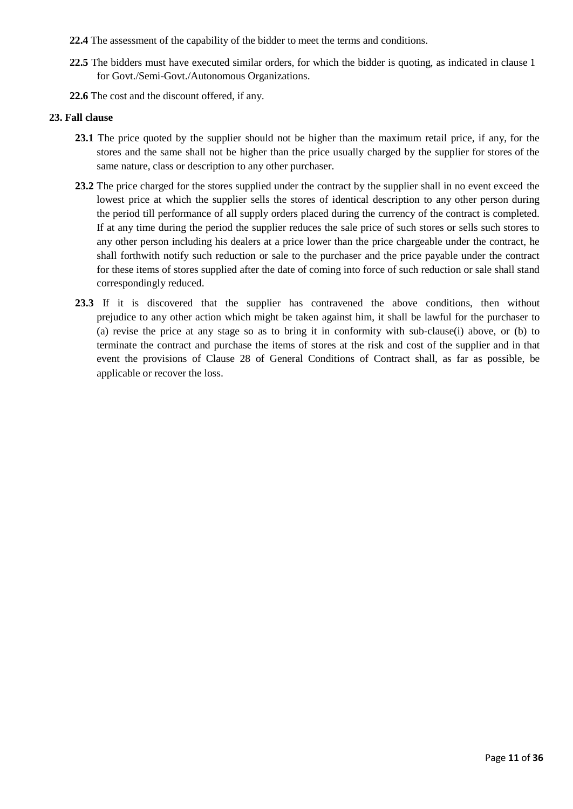- **22.4** The assessment of the capability of the bidder to meet the terms and conditions.
- **22.5** The bidders must have executed similar orders, for which the bidder is quoting, as indicated in clause 1 for Govt./Semi-Govt./Autonomous Organizations.
- **22.6** The cost and the discount offered, if any.

#### **23. Fall clause**

- **23.1** The price quoted by the supplier should not be higher than the maximum retail price, if any, for the stores and the same shall not be higher than the price usually charged by the supplier for stores of the same nature, class or description to any other purchaser.
- **23.2** The price charged for the stores supplied under the contract by the supplier shall in no event exceed the lowest price at which the supplier sells the stores of identical description to any other person during the period till performance of all supply orders placed during the currency of the contract is completed. If at any time during the period the supplier reduces the sale price of such stores or sells such stores to any other person including his dealers at a price lower than the price chargeable under the contract, he shall forthwith notify such reduction or sale to the purchaser and the price payable under the contract for these items of stores supplied after the date of coming into force of such reduction or sale shall stand correspondingly reduced.
- **23.3** If it is discovered that the supplier has contravened the above conditions, then without prejudice to any other action which might be taken against him, it shall be lawful for the purchaser to (a) revise the price at any stage so as to bring it in conformity with sub-clause(i) above, or (b) to terminate the contract and purchase the items of stores at the risk and cost of the supplier and in that event the provisions of Clause 28 of General Conditions of Contract shall, as far as possible, be applicable or recover the loss.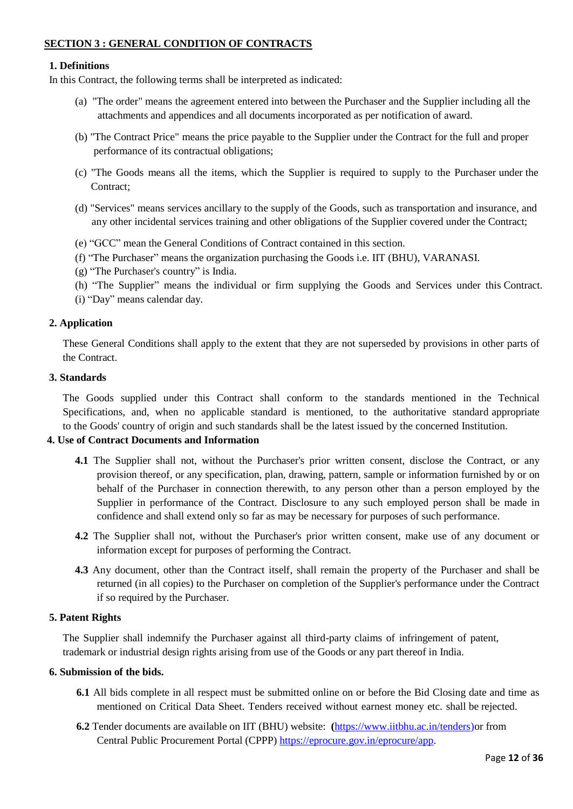## **SECTION 3 : GENERAL CONDITION OF CONTRACTS**

#### **1. Definitions**

In this Contract, the following terms shall be interpreted as indicated:

- (a) "The order" means the agreement entered into between the Purchaser and the Supplier including all the attachments and appendices and all documents incorporated as per notification of award.
- (b) "The Contract Price" means the price payable to the Supplier under the Contract for the full and proper performance of its contractual obligations;
- (c) "The Goods means all the items, which the Supplier is required to supply to the Purchaser under the Contract:
- (d) "Services" means services ancillary to the supply of the Goods, such as transportation and insurance, and any other incidental services training and other obligations of the Supplier covered under the Contract;
- (e) "GCC" mean the General Conditions of Contract contained in this section.
- (f) "The Purchaser" means the organization purchasing the Goods i.e. IIT (BHU), VARANASI.
- (g) "The Purchaser's country" is India.
- (h) "The Supplier" means the individual or firm supplying the Goods and Services under this Contract.
- (i) "Day" means calendar day.

#### **2. Application**

These General Conditions shall apply to the extent that they are not superseded by provisions in other parts of the Contract.

#### **3. Standards**

The Goods supplied under this Contract shall conform to the standards mentioned in the Technical Specifications, and, when no applicable standard is mentioned, to the authoritative standard appropriate to the Goods' country of origin and such standards shall be the latest issued by the concerned Institution.

#### **4. Use of Contract Documents and Information**

- **4.1** The Supplier shall not, without the Purchaser's prior written consent, disclose the Contract, or any provision thereof, or any specification, plan, drawing, pattern, sample or information furnished by or on behalf of the Purchaser in connection therewith, to any person other than a person employed by the Supplier in performance of the Contract. Disclosure to any such employed person shall be made in confidence and shall extend only so far as may be necessary for purposes of such performance.
- **4.2** The Supplier shall not, without the Purchaser's prior written consent, make use of any document or information except for purposes of performing the Contract.
- **4.3** Any document, other than the Contract itself, shall remain the property of the Purchaser and shall be returned (in all copies) to the Purchaser on completion of the Supplier's performance under the Contract if so required by the Purchaser.

#### **5. Patent Rights**

The Supplier shall indemnify the Purchaser against all third-party claims of infringement of patent, trademark or industrial design rights arising from use of the Goods or any part thereof in India.

#### **6. Submission of the bids.**

- **6.1** All bids complete in all respect must be submitted online on or before the Bid Closing date and time as mentioned on Critical Data Sheet. Tenders received without earnest money etc. shall be rejected.
- **6.2** Tender documents are available on IIT (BHU) website: **(**[https://www.iitbhu.ac.in/tenders\)](https://www.iitbhu.ac.in/tenders)or from Central Public Procurement Portal (CPPP) [https://eprocure.gov.in/eprocure/app.](https://eprocure.gov.in/eprocure/app)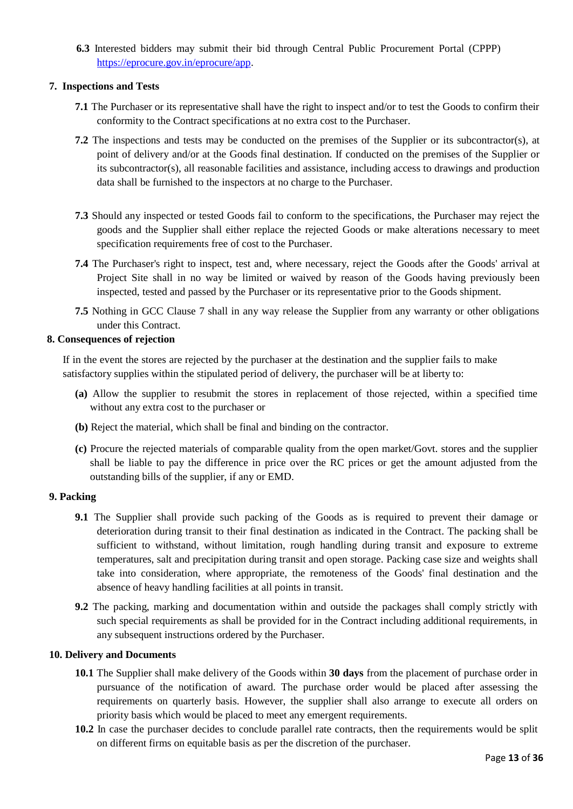**6.3** Interested bidders may submit their bid through Central Public Procurement Portal (CPPP) [https://eprocure.gov.in/eprocure/app.](https://eprocure.gov.in/eprocure/app)

#### **7. Inspections and Tests**

- **7.1** The Purchaser or its representative shall have the right to inspect and/or to test the Goods to confirm their conformity to the Contract specifications at no extra cost to the Purchaser.
- **7.2** The inspections and tests may be conducted on the premises of the Supplier or its subcontractor(s), at point of delivery and/or at the Goods final destination. If conducted on the premises of the Supplier or its subcontractor(s), all reasonable facilities and assistance, including access to drawings and production data shall be furnished to the inspectors at no charge to the Purchaser.
- **7.3** Should any inspected or tested Goods fail to conform to the specifications, the Purchaser may reject the goods and the Supplier shall either replace the rejected Goods or make alterations necessary to meet specification requirements free of cost to the Purchaser.
- **7.4** The Purchaser's right to inspect, test and, where necessary, reject the Goods after the Goods' arrival at Project Site shall in no way be limited or waived by reason of the Goods having previously been inspected, tested and passed by the Purchaser or its representative prior to the Goods shipment.
- **7.5** Nothing in GCC Clause 7 shall in any way release the Supplier from any warranty or other obligations under this Contract.

#### **8. Consequences of rejection**

If in the event the stores are rejected by the purchaser at the destination and the supplier fails to make satisfactory supplies within the stipulated period of delivery, the purchaser will be at liberty to:

- **(a)** Allow the supplier to resubmit the stores in replacement of those rejected, within a specified time without any extra cost to the purchaser or
- **(b)** Reject the material, which shall be final and binding on the contractor.
- **(c)** Procure the rejected materials of comparable quality from the open market/Govt. stores and the supplier shall be liable to pay the difference in price over the RC prices or get the amount adjusted from the outstanding bills of the supplier, if any or EMD.

#### **9. Packing**

- **9.1** The Supplier shall provide such packing of the Goods as is required to prevent their damage or deterioration during transit to their final destination as indicated in the Contract. The packing shall be sufficient to withstand, without limitation, rough handling during transit and exposure to extreme temperatures, salt and precipitation during transit and open storage. Packing case size and weights shall take into consideration, where appropriate, the remoteness of the Goods' final destination and the absence of heavy handling facilities at all points in transit.
- **9.2** The packing, marking and documentation within and outside the packages shall comply strictly with such special requirements as shall be provided for in the Contract including additional requirements, in any subsequent instructions ordered by the Purchaser.

#### **10. Delivery and Documents**

- **10.1** The Supplier shall make delivery of the Goods within **30 days** from the placement of purchase order in pursuance of the notification of award. The purchase order would be placed after assessing the requirements on quarterly basis. However, the supplier shall also arrange to execute all orders on priority basis which would be placed to meet any emergent requirements.
- **10.2** In case the purchaser decides to conclude parallel rate contracts, then the requirements would be split on different firms on equitable basis as per the discretion of the purchaser.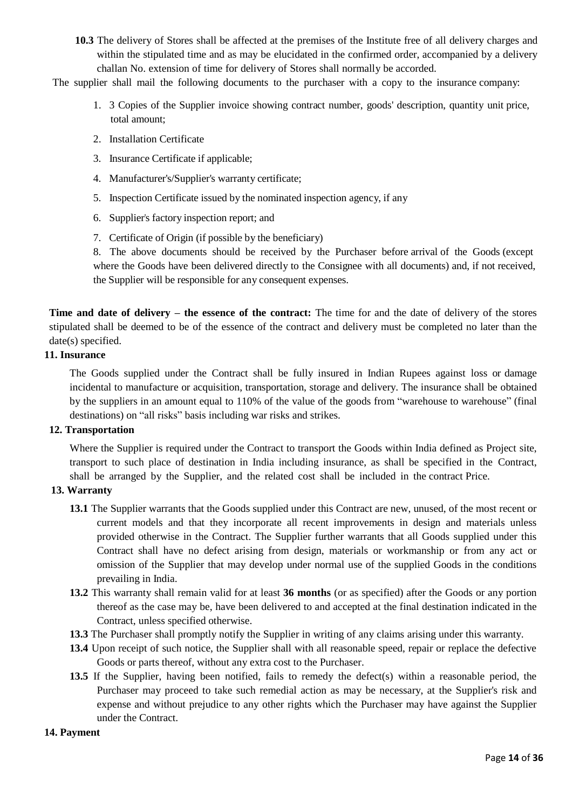**10.3** The delivery of Stores shall be affected at the premises of the Institute free of all delivery charges and within the stipulated time and as may be elucidated in the confirmed order, accompanied by a delivery challan No. extension of time for delivery of Stores shall normally be accorded.

The supplier shall mail the following documents to the purchaser with a copy to the insurance company:

- 1. 3 Copies of the Supplier invoice showing contract number, goods' description, quantity unit price, total amount;
- 2. Installation Certificate
- 3. Insurance Certificate if applicable;
- 4. Manufacturer's/Supplier's warranty certificate;
- 5. Inspection Certificate issued by the nominated inspection agency, if any
- 6. Supplier's factory inspection report; and
- 7. Certificate of Origin (if possible by the beneficiary)

8. The above documents should be received by the Purchaser before arrival of the Goods (except where the Goods have been delivered directly to the Consignee with all documents) and, if not received, the Supplier will be responsible for any consequent expenses.

**Time and date of delivery – the essence of the contract:** The time for and the date of delivery of the stores stipulated shall be deemed to be of the essence of the contract and delivery must be completed no later than the date(s) specified.

#### **11. Insurance**

The Goods supplied under the Contract shall be fully insured in Indian Rupees against loss or damage incidental to manufacture or acquisition, transportation, storage and delivery. The insurance shall be obtained by the suppliers in an amount equal to 110% of the value of the goods from "warehouse to warehouse" (final destinations) on "all risks" basis including war risks and strikes.

#### **12. Transportation**

Where the Supplier is required under the Contract to transport the Goods within India defined as Project site, transport to such place of destination in India including insurance, as shall be specified in the Contract, shall be arranged by the Supplier, and the related cost shall be included in the contract Price.

#### **13. Warranty**

- **13.1** The Supplier warrants that the Goods supplied under this Contract are new, unused, of the most recent or current models and that they incorporate all recent improvements in design and materials unless provided otherwise in the Contract. The Supplier further warrants that all Goods supplied under this Contract shall have no defect arising from design, materials or workmanship or from any act or omission of the Supplier that may develop under normal use of the supplied Goods in the conditions prevailing in India.
- **13.2** This warranty shall remain valid for at least **36 months** (or as specified) after the Goods or any portion thereof as the case may be, have been delivered to and accepted at the final destination indicated in the Contract, unless specified otherwise.
- **13.3** The Purchaser shall promptly notify the Supplier in writing of any claims arising under this warranty.
- **13.4** Upon receipt of such notice, the Supplier shall with all reasonable speed, repair or replace the defective Goods or parts thereof, without any extra cost to the Purchaser.
- **13.5** If the Supplier, having been notified, fails to remedy the defect(s) within a reasonable period, the Purchaser may proceed to take such remedial action as may be necessary, at the Supplier's risk and expense and without prejudice to any other rights which the Purchaser may have against the Supplier under the Contract.

#### **14. Payment**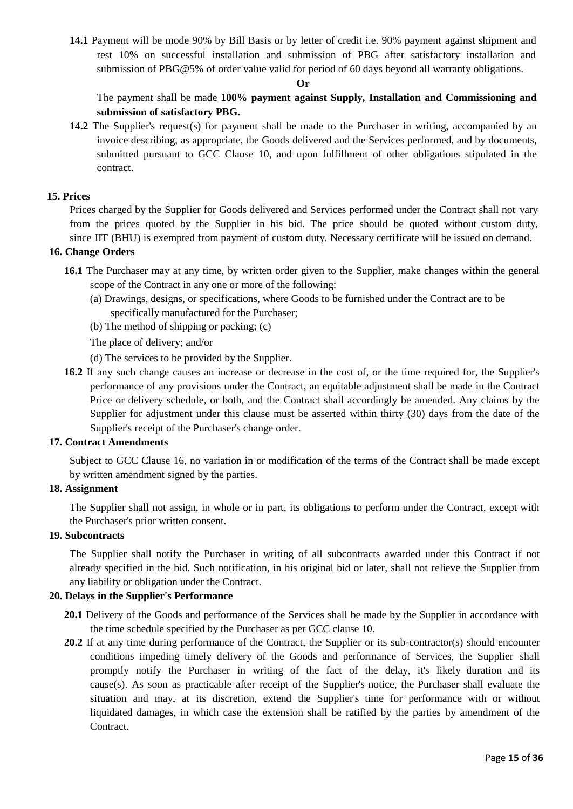**14.1** Payment will be mode 90% by Bill Basis or by letter of credit i.e. 90% payment against shipment and rest 10% on successful installation and submission of PBG after satisfactory installation and submission of PBG@5% of order value valid for period of 60 days beyond all warranty obligations.

#### **Or**

## The payment shall be made **100% payment against Supply, Installation and Commissioning and submission of satisfactory PBG.**

**14.2** The Supplier's request(s) for payment shall be made to the Purchaser in writing, accompanied by an invoice describing, as appropriate, the Goods delivered and the Services performed, and by documents, submitted pursuant to GCC Clause 10, and upon fulfillment of other obligations stipulated in the contract.

#### **15. Prices**

Prices charged by the Supplier for Goods delivered and Services performed under the Contract shall not vary from the prices quoted by the Supplier in his bid. The price should be quoted without custom duty, since IIT (BHU) is exempted from payment of custom duty. Necessary certificate will be issued on demand.

#### **16. Change Orders**

- **16.1** The Purchaser may at any time, by written order given to the Supplier, make changes within the general scope of the Contract in any one or more of the following:
	- (a) Drawings, designs, or specifications, where Goods to be furnished under the Contract are to be specifically manufactured for the Purchaser;
	- (b) The method of shipping or packing; (c)
	- The place of delivery; and/or
	- (d) The services to be provided by the Supplier.
- **16.2** If any such change causes an increase or decrease in the cost of, or the time required for, the Supplier's performance of any provisions under the Contract, an equitable adjustment shall be made in the Contract Price or delivery schedule, or both, and the Contract shall accordingly be amended. Any claims by the Supplier for adjustment under this clause must be asserted within thirty (30) days from the date of the Supplier's receipt of the Purchaser's change order.

#### **17. Contract Amendments**

Subject to GCC Clause 16, no variation in or modification of the terms of the Contract shall be made except by written amendment signed by the parties.

#### **18. Assignment**

The Supplier shall not assign, in whole or in part, its obligations to perform under the Contract, except with the Purchaser's prior written consent.

#### **19. Subcontracts**

The Supplier shall notify the Purchaser in writing of all subcontracts awarded under this Contract if not already specified in the bid. Such notification, in his original bid or later, shall not relieve the Supplier from any liability or obligation under the Contract.

### **20. Delays in the Supplier's Performance**

- **20.1** Delivery of the Goods and performance of the Services shall be made by the Supplier in accordance with the time schedule specified by the Purchaser as per GCC clause 10.
- 20.2 If at any time during performance of the Contract, the Supplier or its sub-contractor(s) should encounter conditions impeding timely delivery of the Goods and performance of Services, the Supplier shall promptly notify the Purchaser in writing of the fact of the delay, it's likely duration and its cause(s). As soon as practicable after receipt of the Supplier's notice, the Purchaser shall evaluate the situation and may, at its discretion, extend the Supplier's time for performance with or without liquidated damages, in which case the extension shall be ratified by the parties by amendment of the Contract.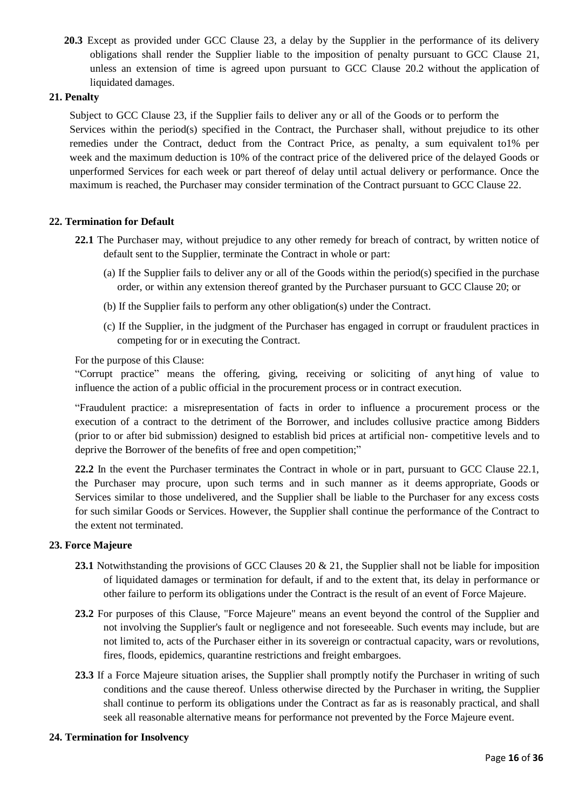**20.3** Except as provided under GCC Clause 23, a delay by the Supplier in the performance of its delivery obligations shall render the Supplier liable to the imposition of penalty pursuant to GCC Clause 21, unless an extension of time is agreed upon pursuant to GCC Clause 20.2 without the application of liquidated damages.

#### **21. Penalty**

Subject to GCC Clause 23, if the Supplier fails to deliver any or all of the Goods or to perform the Services within the period(s) specified in the Contract, the Purchaser shall, without prejudice to its other remedies under the Contract, deduct from the Contract Price, as penalty, a sum equivalent to1% per week and the maximum deduction is 10% of the contract price of the delivered price of the delayed Goods or unperformed Services for each week or part thereof of delay until actual delivery or performance. Once the maximum is reached, the Purchaser may consider termination of the Contract pursuant to GCC Clause 22.

#### **22. Termination for Default**

- **22.1** The Purchaser may, without prejudice to any other remedy for breach of contract, by written notice of default sent to the Supplier, terminate the Contract in whole or part:
	- (a) If the Supplier fails to deliver any or all of the Goods within the period(s) specified in the purchase order, or within any extension thereof granted by the Purchaser pursuant to GCC Clause 20; or
	- (b) If the Supplier fails to perform any other obligation(s) under the Contract.
	- (c) If the Supplier, in the judgment of the Purchaser has engaged in corrupt or fraudulent practices in competing for or in executing the Contract.

For the purpose of this Clause:

"Corrupt practice" means the offering, giving, receiving or soliciting of anyt hing of value to influence the action of a public official in the procurement process or in contract execution.

"Fraudulent practice: a misrepresentation of facts in order to influence a procurement process or the execution of a contract to the detriment of the Borrower, and includes collusive practice among Bidders (prior to or after bid submission) designed to establish bid prices at artificial non- competitive levels and to deprive the Borrower of the benefits of free and open competition;"

**22.2** In the event the Purchaser terminates the Contract in whole or in part, pursuant to GCC Clause 22.1, the Purchaser may procure, upon such terms and in such manner as it deems appropriate, Goods or Services similar to those undelivered, and the Supplier shall be liable to the Purchaser for any excess costs for such similar Goods or Services. However, the Supplier shall continue the performance of the Contract to the extent not terminated.

#### **23. Force Majeure**

- **23.1** Notwithstanding the provisions of GCC Clauses 20 & 21, the Supplier shall not be liable for imposition of liquidated damages or termination for default, if and to the extent that, its delay in performance or other failure to perform its obligations under the Contract is the result of an event of Force Majeure.
- **23.2** For purposes of this Clause, "Force Majeure" means an event beyond the control of the Supplier and not involving the Supplier's fault or negligence and not foreseeable. Such events may include, but are not limited to, acts of the Purchaser either in its sovereign or contractual capacity, wars or revolutions, fires, floods, epidemics, quarantine restrictions and freight embargoes.
- **23.3** If a Force Majeure situation arises, the Supplier shall promptly notify the Purchaser in writing of such conditions and the cause thereof. Unless otherwise directed by the Purchaser in writing, the Supplier shall continue to perform its obligations under the Contract as far as is reasonably practical, and shall seek all reasonable alternative means for performance not prevented by the Force Majeure event.

#### **24. Termination for Insolvency**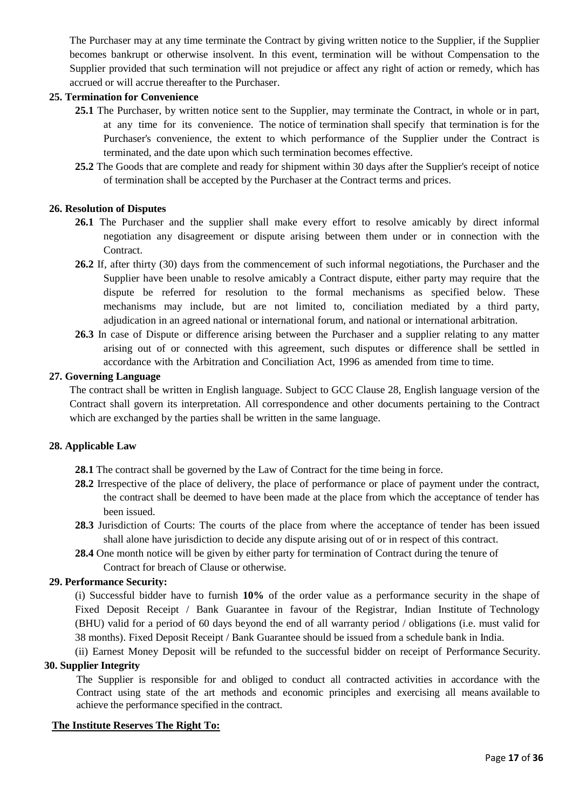The Purchaser may at any time terminate the Contract by giving written notice to the Supplier, if the Supplier becomes bankrupt or otherwise insolvent. In this event, termination will be without Compensation to the Supplier provided that such termination will not prejudice or affect any right of action or remedy, which has accrued or will accrue thereafter to the Purchaser.

#### **25. Termination for Convenience**

- **25.1** The Purchaser, by written notice sent to the Supplier, may terminate the Contract, in whole or in part, at any time for its convenience. The notice of termination shall specify that termination is for the Purchaser's convenience, the extent to which performance of the Supplier under the Contract is terminated, and the date upon which such termination becomes effective.
- **25.2** The Goods that are complete and ready for shipment within 30 days after the Supplier's receipt of notice of termination shall be accepted by the Purchaser at the Contract terms and prices.

#### **26. Resolution of Disputes**

- **26.1** The Purchaser and the supplier shall make every effort to resolve amicably by direct informal negotiation any disagreement or dispute arising between them under or in connection with the Contract.
- **26.2** If, after thirty (30) days from the commencement of such informal negotiations, the Purchaser and the Supplier have been unable to resolve amicably a Contract dispute, either party may require that the dispute be referred for resolution to the formal mechanisms as specified below. These mechanisms may include, but are not limited to, conciliation mediated by a third party, adjudication in an agreed national or international forum, and national or international arbitration.
- **26.3** In case of Dispute or difference arising between the Purchaser and a supplier relating to any matter arising out of or connected with this agreement, such disputes or difference shall be settled in accordance with the Arbitration and Conciliation Act, 1996 as amended from time to time.

#### **27. Governing Language**

The contract shall be written in English language. Subject to GCC Clause 28, English language version of the Contract shall govern its interpretation. All correspondence and other documents pertaining to the Contract which are exchanged by the parties shall be written in the same language.

#### **28. Applicable Law**

- **28.1** The contract shall be governed by the Law of Contract for the time being in force.
- **28.2** Irrespective of the place of delivery, the place of performance or place of payment under the contract, the contract shall be deemed to have been made at the place from which the acceptance of tender has been issued.
- **28.3** Jurisdiction of Courts: The courts of the place from where the acceptance of tender has been issued shall alone have jurisdiction to decide any dispute arising out of or in respect of this contract.
- **28.4** One month notice will be given by either party for termination of Contract during the tenure of Contract for breach of Clause or otherwise.

#### **29. Performance Security:**

(i) Successful bidder have to furnish **10%** of the order value as a performance security in the shape of Fixed Deposit Receipt / Bank Guarantee in favour of the Registrar, Indian Institute of Technology (BHU) valid for a period of 60 days beyond the end of all warranty period / obligations (i.e. must valid for 38 months). Fixed Deposit Receipt / Bank Guarantee should be issued from a schedule bank in India.

(ii) Earnest Money Deposit will be refunded to the successful bidder on receipt of Performance Security.

## **30. Supplier Integrity**

The Supplier is responsible for and obliged to conduct all contracted activities in accordance with the Contract using state of the art methods and economic principles and exercising all means available to achieve the performance specified in the contract.

#### **The Institute Reserves The Right To:**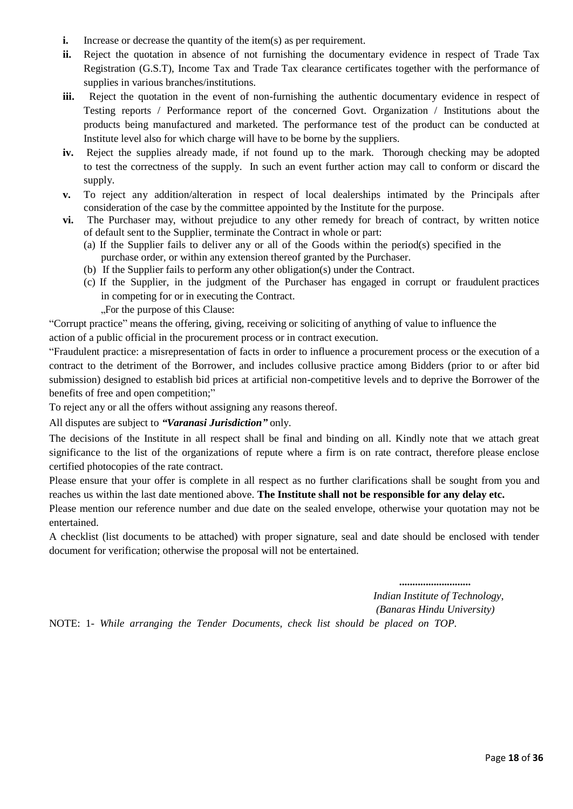- **i.** Increase or decrease the quantity of the item(s) as per requirement.
- **ii.** Reject the quotation in absence of not furnishing the documentary evidence in respect of Trade Tax Registration (G.S.T), Income Tax and Trade Tax clearance certificates together with the performance of supplies in various branches/institutions.
- **iii.** Reject the quotation in the event of non-furnishing the authentic documentary evidence in respect of Testing reports / Performance report of the concerned Govt. Organization / Institutions about the products being manufactured and marketed. The performance test of the product can be conducted at Institute level also for which charge will have to be borne by the suppliers.
- **iv.** Reject the supplies already made, if not found up to the mark. Thorough checking may be adopted to test the correctness of the supply. In such an event further action may call to conform or discard the supply.
- **v.** To reject any addition/alteration in respect of local dealerships intimated by the Principals after consideration of the case by the committee appointed by the Institute for the purpose.
- **vi.** The Purchaser may, without prejudice to any other remedy for breach of contract, by written notice of default sent to the Supplier, terminate the Contract in whole or part:
	- (a) If the Supplier fails to deliver any or all of the Goods within the period(s) specified in the purchase order, or within any extension thereof granted by the Purchaser.
	- (b) If the Supplier fails to perform any other obligation(s) under the Contract.
	- (c) If the Supplier, in the judgment of the Purchaser has engaged in corrupt or fraudulent practices in competing for or in executing the Contract.

"For the purpose of this Clause:

"Corrupt practice" means the offering, giving, receiving or soliciting of anything of value to influence the

action of a public official in the procurement process or in contract execution.

"Fraudulent practice: a misrepresentation of facts in order to influence a procurement process or the execution of a contract to the detriment of the Borrower, and includes collusive practice among Bidders (prior to or after bid submission) designed to establish bid prices at artificial non-competitive levels and to deprive the Borrower of the benefits of free and open competition;"

To reject any or all the offers without assigning any reasons thereof.

All disputes are subject to *"Varanasi Jurisdiction"* only.

The decisions of the Institute in all respect shall be final and binding on all. Kindly note that we attach great significance to the list of the organizations of repute where a firm is on rate contract, therefore please enclose certified photocopies of the rate contract.

Please ensure that your offer is complete in all respect as no further clarifications shall be sought from you and reaches us within the last date mentioned above. **The Institute shall not be responsible for any delay etc.**

Please mention our reference number and due date on the sealed envelope, otherwise your quotation may not be entertained.

A checklist (list documents to be attached) with proper signature, seal and date should be enclosed with tender document for verification; otherwise the proposal will not be entertained.

*...........................*

*Indian Institute of Technology, (Banaras Hindu University)*

NOTE: 1- *While arranging the Tender Documents, check list should be placed on TOP.*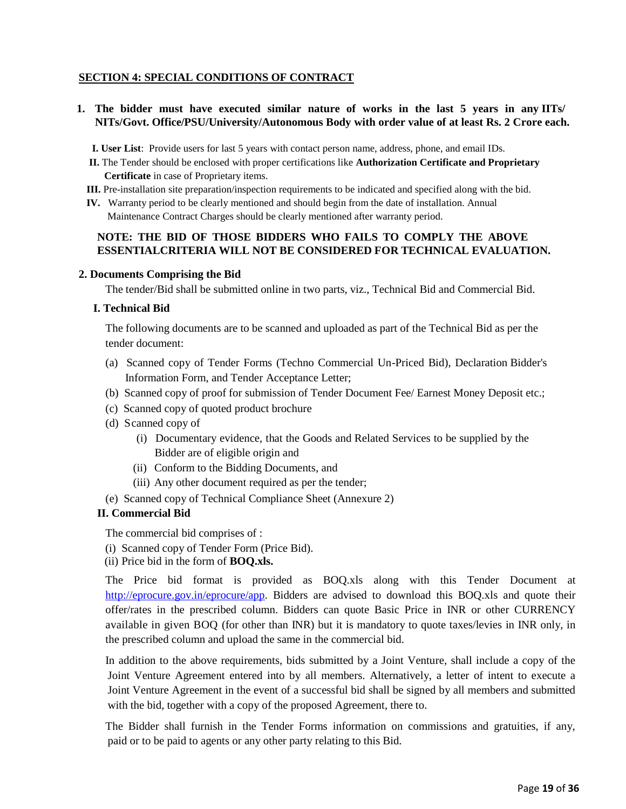#### **SECTION 4: SPECIAL CONDITIONS OF CONTRACT**

**1. The bidder must have executed similar nature of works in the last 5 years in any IITs/ NITs/Govt. Office/PSU/University/Autonomous Body with order value of at least Rs. 2 Crore each.**

**I. User List**: Provide users for last 5 years with contact person name, address, phone, and email IDs.

- **II.** The Tender should be enclosed with proper certifications like **Authorization Certificate and Proprietary Certificate** in case of Proprietary items.
- **III.** Pre-installation site preparation/inspection requirements to be indicated and specified along with the bid.
- **IV.** Warranty period to be clearly mentioned and should begin from the date of installation. Annual Maintenance Contract Charges should be clearly mentioned after warranty period.

#### **NOTE: THE BID OF THOSE BIDDERS WHO FAILS TO COMPLY THE ABOVE ESSENTIALCRITERIA WILL NOT BE CONSIDERED FOR TECHNICAL EVALUATION.**

#### **2. Documents Comprising the Bid**

The tender/Bid shall be submitted online in two parts, viz., Technical Bid and Commercial Bid.

#### **I. Technical Bid**

The following documents are to be scanned and uploaded as part of the Technical Bid as per the tender document:

- (a) Scanned copy of Tender Forms (Techno Commercial Un-Priced Bid), Declaration Bidder's Information Form, and Tender Acceptance Letter;
- (b) Scanned copy of proof for submission of Tender Document Fee/ Earnest Money Deposit etc.;
- (c) Scanned copy of quoted product brochure
- (d) Scanned copy of
	- (i) Documentary evidence, that the Goods and Related Services to be supplied by the Bidder are of eligible origin and
	- (ii) Conform to the Bidding Documents, and
	- (iii) Any other document required as per the tender;
- (e) Scanned copy of Technical Compliance Sheet (Annexure 2)

#### **II. Commercial Bid**

The commercial bid comprises of :

- (i) Scanned copy of Tender Form (Price Bid).
- (ii) Price bid in the form of **BOQ.xls.**

The Price bid format is provided as BOQ.xls along with this Tender Document at [http://eprocure.gov.in/eprocure/app.](http://eprocure.gov.in/eprocure/app) Bidders are advised to download this BOQ.xls and quote their offer/rates in the prescribed column. Bidders can quote Basic Price in INR or other CURRENCY available in given BOQ (for other than INR) but it is mandatory to quote taxes/levies in INR only, in the prescribed column and upload the same in the commercial bid.

In addition to the above requirements, bids submitted by a Joint Venture, shall include a copy of the Joint Venture Agreement entered into by all members. Alternatively, a letter of intent to execute a Joint Venture Agreement in the event of a successful bid shall be signed by all members and submitted with the bid, together with a copy of the proposed Agreement, there to.

The Bidder shall furnish in the Tender Forms information on commissions and gratuities, if any, paid or to be paid to agents or any other party relating to this Bid.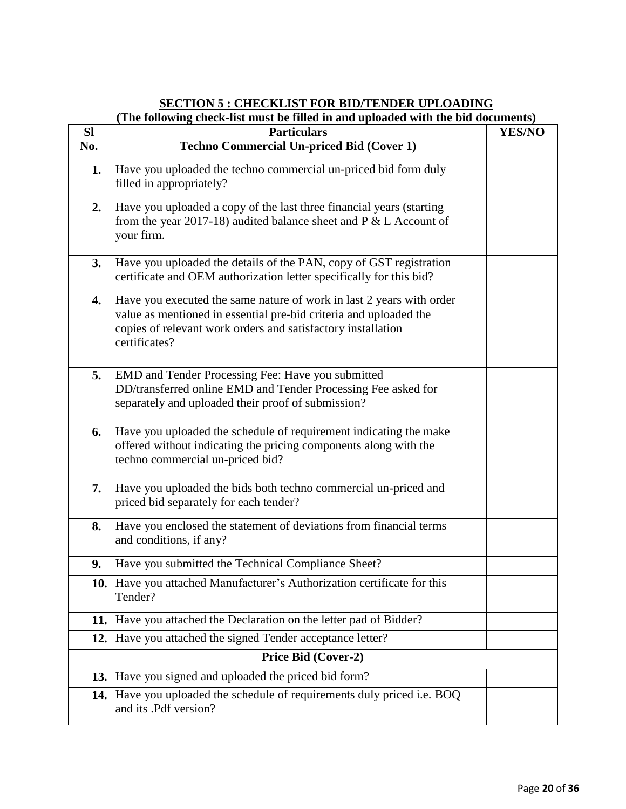## **(The following check-list must be filled in and uploaded with the bid documents)**

| <b>SI</b> | <b>Particulars</b>                                                                                                                                                                                                         | <b>YES/NO</b> |
|-----------|----------------------------------------------------------------------------------------------------------------------------------------------------------------------------------------------------------------------------|---------------|
| No.       | <b>Techno Commercial Un-priced Bid (Cover 1)</b>                                                                                                                                                                           |               |
| 1.        | Have you uploaded the techno commercial un-priced bid form duly<br>filled in appropriately?                                                                                                                                |               |
| 2.        | Have you uploaded a copy of the last three financial years (starting<br>from the year 2017-18) audited balance sheet and P & L Account of<br>your firm.                                                                    |               |
| 3.        | Have you uploaded the details of the PAN, copy of GST registration<br>certificate and OEM authorization letter specifically for this bid?                                                                                  |               |
| 4.        | Have you executed the same nature of work in last 2 years with order<br>value as mentioned in essential pre-bid criteria and uploaded the<br>copies of relevant work orders and satisfactory installation<br>certificates? |               |
| 5.        | EMD and Tender Processing Fee: Have you submitted<br>DD/transferred online EMD and Tender Processing Fee asked for<br>separately and uploaded their proof of submission?                                                   |               |
| 6.        | Have you uploaded the schedule of requirement indicating the make<br>offered without indicating the pricing components along with the<br>techno commercial un-priced bid?                                                  |               |
| 7.        | Have you uploaded the bids both techno commercial un-priced and<br>priced bid separately for each tender?                                                                                                                  |               |
| 8.        | Have you enclosed the statement of deviations from financial terms<br>and conditions, if any?                                                                                                                              |               |
| 9.        | Have you submitted the Technical Compliance Sheet?                                                                                                                                                                         |               |
| 10.       | Have you attached Manufacturer's Authorization certificate for this<br>Tender?                                                                                                                                             |               |
| 11.       | Have you attached the Declaration on the letter pad of Bidder?                                                                                                                                                             |               |
| 12.       | Have you attached the signed Tender acceptance letter?                                                                                                                                                                     |               |
|           | Price Bid (Cover-2)                                                                                                                                                                                                        |               |
| 13.1      | Have you signed and uploaded the priced bid form?                                                                                                                                                                          |               |
| 14.       | Have you uploaded the schedule of requirements duly priced i.e. BOQ<br>and its .Pdf version?                                                                                                                               |               |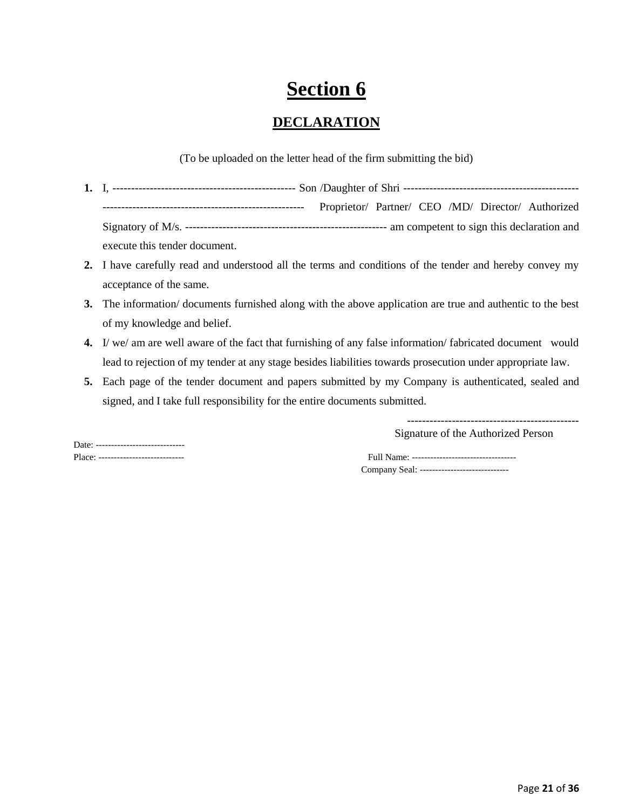# **Section 6**

## **DECLARATION**

(To be uploaded on the letter head of the firm submitting the bid)

- **1.** I, ------------------------------------------------- Son /Daughter of Shri ----------------------------------------------- ------------------------------------------------------ Proprietor/ Partner/ CEO /MD/ Director/ Authorized Signatory of M/s. ------------------------------------------------------ am competent to sign this declaration and execute this tender document.
- **2.** I have carefully read and understood all the terms and conditions of the tender and hereby convey my acceptance of the same.
- **3.** The information/ documents furnished along with the above application are true and authentic to the best of my knowledge and belief.
- **4.** I/ we/ am are well aware of the fact that furnishing of any false information/ fabricated document would lead to rejection of my tender at any stage besides liabilities towards prosecution under appropriate law.
- **5.** Each page of the tender document and papers submitted by my Company is authenticated, sealed and signed, and I take full responsibility for the entire documents submitted.

---------------------------------------------- Signature of the Authorized Person

Date: ------------------------------

Place: ---------------------------- Full Name: ---------------------------------- Company Seal: -----------------------------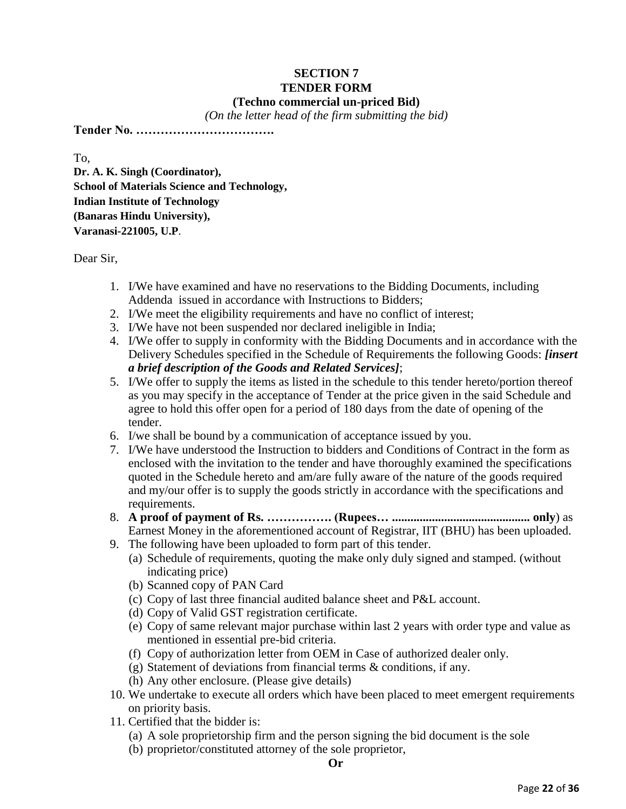### **SECTION 7 TENDER FORM (Techno commercial un-priced Bid)**

*(On the letter head of the firm submitting the bid)*

**Tender No. …………………………….**

To,

**Dr. A. K. Singh (Coordinator), School of Materials Science and Technology, Indian Institute of Technology (Banaras Hindu University), Varanasi-221005, U.P**.

Dear Sir,

- 1. I/We have examined and have no reservations to the Bidding Documents, including Addenda issued in accordance with Instructions to Bidders;
- 2. I/We meet the eligibility requirements and have no conflict of interest;
- 3. I/We have not been suspended nor declared ineligible in India;
- 4. I/We offer to supply in conformity with the Bidding Documents and in accordance with the Delivery Schedules specified in the Schedule of Requirements the following Goods: *[insert a brief description of the Goods and Related Services]*;
- 5. I/We offer to supply the items as listed in the schedule to this tender hereto/portion thereof as you may specify in the acceptance of Tender at the price given in the said Schedule and agree to hold this offer open for a period of 180 days from the date of opening of the tender.
- 6. I/we shall be bound by a communication of acceptance issued by you.
- 7. I/We have understood the Instruction to bidders and Conditions of Contract in the form as enclosed with the invitation to the tender and have thoroughly examined the specifications quoted in the Schedule hereto and am/are fully aware of the nature of the goods required and my/our offer is to supply the goods strictly in accordance with the specifications and requirements.
- 8. **A proof of payment of Rs. ……………. (Rupees… ............................................. only**) as Earnest Money in the aforementioned account of Registrar, IIT (BHU) has been uploaded.
- 9. The following have been uploaded to form part of this tender.
	- (a) Schedule of requirements, quoting the make only duly signed and stamped. (without indicating price)
	- (b) Scanned copy of PAN Card
	- (c) Copy of last three financial audited balance sheet and P&L account.
	- (d) Copy of Valid GST registration certificate.
	- (e) Copy of same relevant major purchase within last 2 years with order type and value as mentioned in essential pre-bid criteria.
	- (f) Copy of authorization letter from OEM in Case of authorized dealer only.
	- (g) Statement of deviations from financial terms & conditions, if any.
	- (h) Any other enclosure. (Please give details)
- 10. We undertake to execute all orders which have been placed to meet emergent requirements on priority basis.
- 11. Certified that the bidder is:
	- (a) A sole proprietorship firm and the person signing the bid document is the sole
	- (b) proprietor/constituted attorney of the sole proprietor,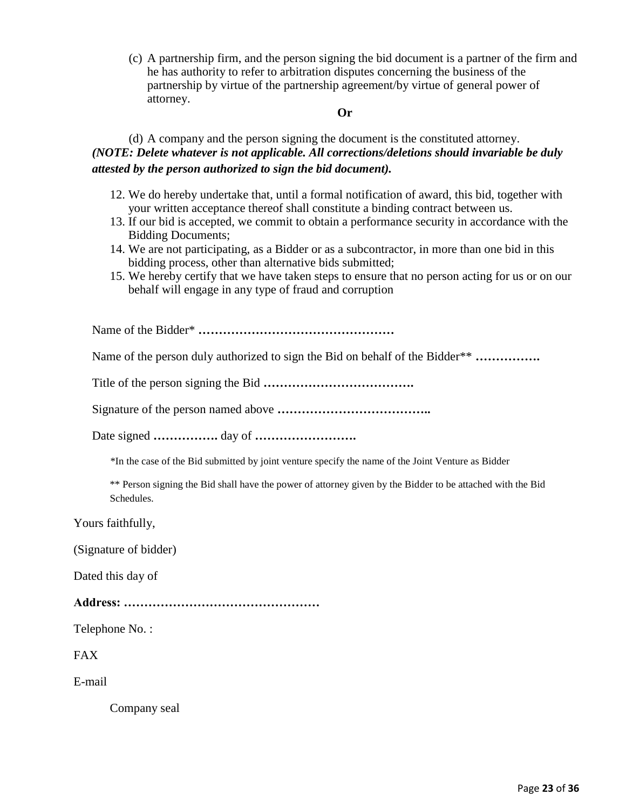(c) A partnership firm, and the person signing the bid document is a partner of the firm and he has authority to refer to arbitration disputes concerning the business of the partnership by virtue of the partnership agreement/by virtue of general power of attorney.

#### **Or**

(d) A company and the person signing the document is the constituted attorney. *(NOTE: Delete whatever is not applicable. All corrections/deletions should invariable be duly attested by the person authorized to sign the bid document).*

- 12. We do hereby undertake that, until a formal notification of award, this bid, together with your written acceptance thereof shall constitute a binding contract between us.
- 13. If our bid is accepted, we commit to obtain a performance security in accordance with the Bidding Documents;
- 14. We are not participating, as a Bidder or as a subcontractor, in more than one bid in this bidding process, other than alternative bids submitted;
- 15. We hereby certify that we have taken steps to ensure that no person acting for us or on our behalf will engage in any type of fraud and corruption

Name of the Bidder\* **…………………………………………**

Name of the person duly authorized to sign the Bid on behalf of the Bidder\*\* **…………….**

Title of the person signing the Bid **……………………………….**

Signature of the person named above **………………………………..**

Date signed **…………….** day of **…………………….**

\*In the case of the Bid submitted by joint venture specify the name of the Joint Venture as Bidder

\*\* Person signing the Bid shall have the power of attorney given by the Bidder to be attached with the Bid Schedules.

Yours faithfully,

(Signature of bidder)

Dated this day of

**Address: …………………………………………**

Telephone No. :

FAX

E-mail

Company seal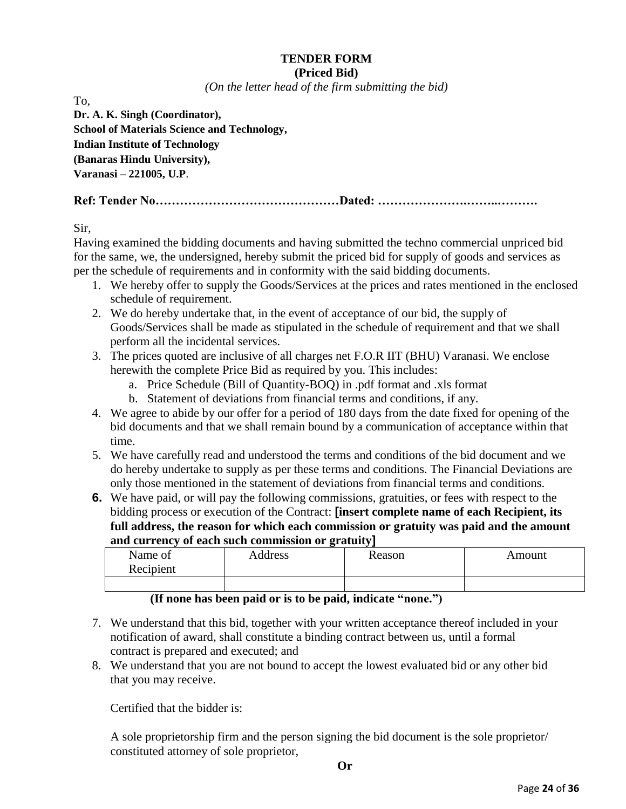#### **TENDER FORM (Priced Bid)**

*(On the letter head of the firm submitting the bid)*

To, **Dr. A. K. Singh (Coordinator), School of Materials Science and Technology, Indian Institute of Technology (Banaras Hindu University), Varanasi – 221005, U.P**.

**Ref: Tender No………………………………………Dated: ………………….……..……….**

Sir,

Having examined the bidding documents and having submitted the techno commercial unpriced bid for the same, we, the undersigned, hereby submit the priced bid for supply of goods and services as per the schedule of requirements and in conformity with the said bidding documents.

- 1. We hereby offer to supply the Goods/Services at the prices and rates mentioned in the enclosed schedule of requirement.
- 2. We do hereby undertake that, in the event of acceptance of our bid, the supply of Goods/Services shall be made as stipulated in the schedule of requirement and that we shall perform all the incidental services.
- 3. The prices quoted are inclusive of all charges net F.O.R IIT (BHU) Varanasi. We enclose herewith the complete Price Bid as required by you. This includes:
	- a. Price Schedule (Bill of Quantity-BOQ) in .pdf format and .xls format
	- b. Statement of deviations from financial terms and conditions, if any.
- 4. We agree to abide by our offer for a period of 180 days from the date fixed for opening of the bid documents and that we shall remain bound by a communication of acceptance within that time.
- 5. We have carefully read and understood the terms and conditions of the bid document and we do hereby undertake to supply as per these terms and conditions. The Financial Deviations are only those mentioned in the statement of deviations from financial terms and conditions.
- **6.** We have paid, or will pay the following commissions, gratuities, or fees with respect to the bidding process or execution of the Contract: **[insert complete name of each Recipient, its full address, the reason for which each commission or gratuity was paid and the amount and currency of each such commission or gratuity]**

| Name of<br>Recipient | Address | Reason | Amount |
|----------------------|---------|--------|--------|
|                      |         |        |        |

## **(If none has been paid or is to be paid, indicate "none.")**

- 7. We understand that this bid, together with your written acceptance thereof included in your notification of award, shall constitute a binding contract between us, until a formal contract is prepared and executed; and
- 8. We understand that you are not bound to accept the lowest evaluated bid or any other bid that you may receive.

Certified that the bidder is:

A sole proprietorship firm and the person signing the bid document is the sole proprietor/ constituted attorney of sole proprietor,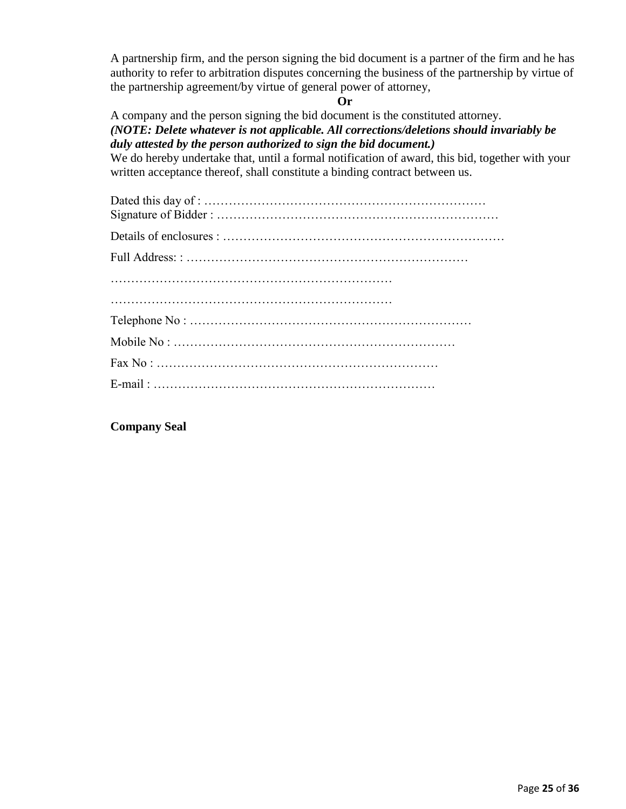A partnership firm, and the person signing the bid document is a partner of the firm and he has authority to refer to arbitration disputes concerning the business of the partnership by virtue of the partnership agreement/by virtue of general power of attorney,

## **Or**

A company and the person signing the bid document is the constituted attorney. *(NOTE: Delete whatever is not applicable. All corrections/deletions should invariably be duly attested by the person authorized to sign the bid document.)*

We do hereby undertake that, until a formal notification of award, this bid, together with your written acceptance thereof, shall constitute a binding contract between us.

**Company Seal**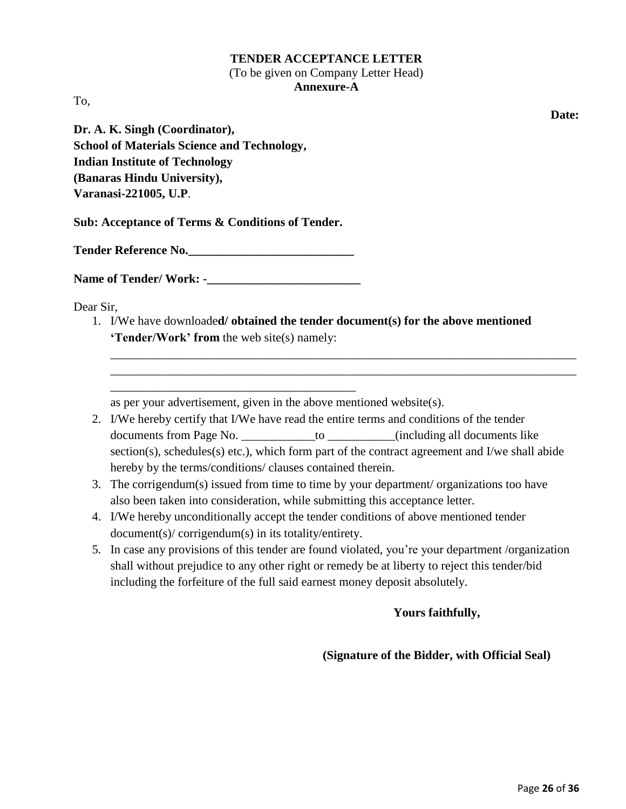## **TENDER ACCEPTANCE LETTER** (To be given on Company Letter Head) **Annexure-A**

To,

**Date:**

**Dr. A. K. Singh (Coordinator), School of Materials Science and Technology, Indian Institute of Technology (Banaras Hindu University), Varanasi-221005, U.P**.

**Sub: Acceptance of Terms & Conditions of Tender.**

**Tender Reference No.\_\_\_\_\_\_\_\_\_\_\_\_\_\_\_\_\_\_\_\_\_\_\_\_\_\_\_**

**Name of Tender/ Work: -\_\_\_\_\_\_\_\_\_\_\_\_\_\_\_\_\_\_\_\_\_\_\_\_\_**

\_\_\_\_\_\_\_\_\_\_\_\_\_\_\_\_\_\_\_\_\_\_\_\_\_\_\_\_\_\_\_\_\_\_\_\_\_\_\_\_

Dear Sir,

1. I/We have downloade**d/ obtained the tender document(s) for the above mentioned "Tender/Work" from** the web site(s) namely:

as per your advertisement, given in the above mentioned website(s).

2. I/We hereby certify that I/We have read the entire terms and conditions of the tender documents from Page No. \_\_\_\_\_\_\_\_\_\_\_\_to \_\_\_\_\_\_\_\_(including all documents like section(s), schedules(s) etc.), which form part of the contract agreement and I/we shall abide hereby by the terms/conditions/ clauses contained therein.

\_\_\_\_\_\_\_\_\_\_\_\_\_\_\_\_\_\_\_\_\_\_\_\_\_\_\_\_\_\_\_\_\_\_\_\_\_\_\_\_\_\_\_\_\_\_\_\_\_\_\_\_\_\_\_\_\_\_\_\_\_\_\_\_\_\_\_\_\_\_\_\_\_\_\_\_ \_\_\_\_\_\_\_\_\_\_\_\_\_\_\_\_\_\_\_\_\_\_\_\_\_\_\_\_\_\_\_\_\_\_\_\_\_\_\_\_\_\_\_\_\_\_\_\_\_\_\_\_\_\_\_\_\_\_\_\_\_\_\_\_\_\_\_\_\_\_\_\_\_\_\_\_

- 3. The corrigendum(s) issued from time to time by your department/ organizations too have also been taken into consideration, while submitting this acceptance letter.
- 4. I/We hereby unconditionally accept the tender conditions of above mentioned tender document(s)/ corrigendum(s) in its totality/entirety.
- 5. In case any provisions of this tender are found violated, you're your department /organization shall without prejudice to any other right or remedy be at liberty to reject this tender/bid including the forfeiture of the full said earnest money deposit absolutely.

## **Yours faithfully,**

## **(Signature of the Bidder, with Official Seal)**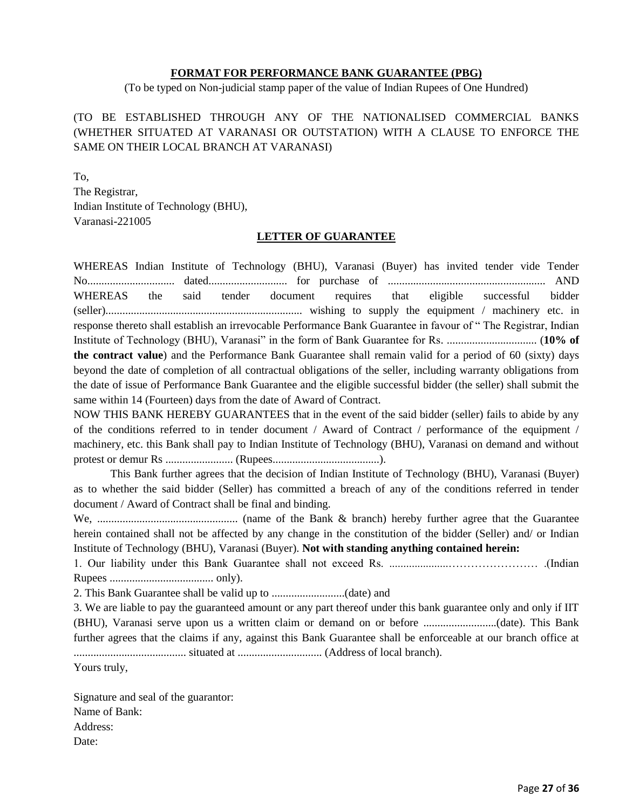#### **FORMAT FOR PERFORMANCE BANK GUARANTEE (PBG)**

(To be typed on Non-judicial stamp paper of the value of Indian Rupees of One Hundred)

## (TO BE ESTABLISHED THROUGH ANY OF THE NATIONALISED COMMERCIAL BANKS (WHETHER SITUATED AT VARANASI OR OUTSTATION) WITH A CLAUSE TO ENFORCE THE SAME ON THEIR LOCAL BRANCH AT VARANASI)

To, The Registrar, Indian Institute of Technology (BHU), Varanasi-221005

#### **LETTER OF GUARANTEE**

WHEREAS Indian Institute of Technology (BHU), Varanasi (Buyer) has invited tender vide Tender No............................... dated............................ for purchase of ........................................................ AND WHEREAS the said tender document requires that eligible successful bidder (seller)...................................................................... wishing to supply the equipment / machinery etc. in response thereto shall establish an irrevocable Performance Bank Guarantee in favour of " The Registrar, Indian Institute of Technology (BHU), Varanasi" in the form of Bank Guarantee for Rs. ................................ (**10% of the contract value**) and the Performance Bank Guarantee shall remain valid for a period of 60 (sixty) days beyond the date of completion of all contractual obligations of the seller, including warranty obligations from the date of issue of Performance Bank Guarantee and the eligible successful bidder (the seller) shall submit the same within 14 (Fourteen) days from the date of Award of Contract.

NOW THIS BANK HEREBY GUARANTEES that in the event of the said bidder (seller) fails to abide by any of the conditions referred to in tender document / Award of Contract / performance of the equipment / machinery, etc. this Bank shall pay to Indian Institute of Technology (BHU), Varanasi on demand and without protest or demur Rs ........................ (Rupees......................................).

This Bank further agrees that the decision of Indian Institute of Technology (BHU), Varanasi (Buyer) as to whether the said bidder (Seller) has committed a breach of any of the conditions referred in tender document / Award of Contract shall be final and binding.

We, .................................................. (name of the Bank & branch) hereby further agree that the Guarantee herein contained shall not be affected by any change in the constitution of the bidder (Seller) and/ or Indian Institute of Technology (BHU), Varanasi (Buyer). **Not with standing anything contained herein:**

1. Our liability under this Bank Guarantee shall not exceed Rs. .....................…………………… .(Indian Rupees ..................................... only).

2. This Bank Guarantee shall be valid up to ..........................(date) and

3. We are liable to pay the guaranteed amount or any part thereof under this bank guarantee only and only if IIT (BHU), Varanasi serve upon us a written claim or demand on or before ..........................(date). This Bank further agrees that the claims if any, against this Bank Guarantee shall be enforceable at our branch office at ........................................ situated at .............................. (Address of local branch).

Yours truly,

Signature and seal of the guarantor: Name of Bank: Address: Date: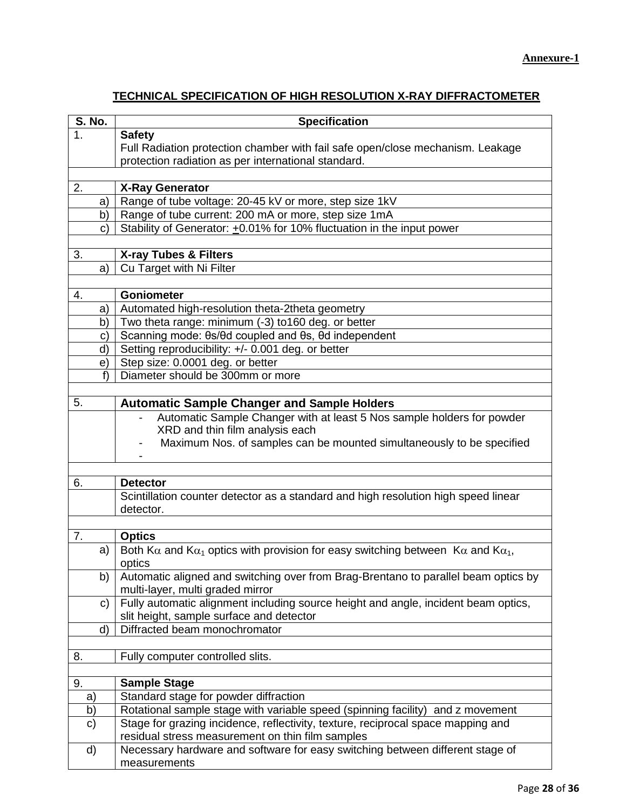## **TECHNICAL SPECIFICATION OF HIGH RESOLUTION X-RAY DIFFRACTOMETER**

| <b>S. No.</b> |    | <b>Specification</b>                                                                                            |
|---------------|----|-----------------------------------------------------------------------------------------------------------------|
| 1.            |    | <b>Safety</b>                                                                                                   |
|               |    | Full Radiation protection chamber with fail safe open/close mechanism. Leakage                                  |
|               |    | protection radiation as per international standard.                                                             |
|               |    |                                                                                                                 |
| 2.            |    | <b>X-Ray Generator</b>                                                                                          |
|               | a) | Range of tube voltage: 20-45 kV or more, step size 1kV                                                          |
|               | b) | Range of tube current: 200 mA or more, step size 1mA                                                            |
|               | C) | Stability of Generator: +0.01% for 10% fluctuation in the input power                                           |
|               |    |                                                                                                                 |
| 3.            |    | X-ray Tubes & Filters                                                                                           |
|               | a) | Cu Target with Ni Filter                                                                                        |
|               |    |                                                                                                                 |
| 4.            |    | <b>Goniometer</b>                                                                                               |
|               | a) | Automated high-resolution theta-2theta geometry                                                                 |
|               | b) | Two theta range: minimum (-3) to160 deg. or better                                                              |
|               | C) | Scanning mode: $\theta s/\theta d$ coupled and $\theta s$ , $\theta d$ independent                              |
|               | d) | Setting reproducibility: +/- 0.001 deg. or better                                                               |
|               | e) | Step size: 0.0001 deg. or better                                                                                |
|               | f  | Diameter should be 300mm or more                                                                                |
|               |    |                                                                                                                 |
| 5.            |    | <b>Automatic Sample Changer and Sample Holders</b>                                                              |
|               |    | Automatic Sample Changer with at least 5 Nos sample holders for powder                                          |
|               |    | XRD and thin film analysis each                                                                                 |
|               |    | Maximum Nos. of samples can be mounted simultaneously to be specified                                           |
|               |    |                                                                                                                 |
|               |    |                                                                                                                 |
| 6.            |    | <b>Detector</b>                                                                                                 |
|               |    | Scintillation counter detector as a standard and high resolution high speed linear<br>detector.                 |
|               |    |                                                                                                                 |
| 7.            |    | <b>Optics</b>                                                                                                   |
|               | a) | Both K $\alpha$ and K $\alpha_1$ optics with provision for easy switching between K $\alpha$ and K $\alpha_1$ , |
|               |    | optics                                                                                                          |
|               | b) | Automatic aligned and switching over from Brag-Brentano to parallel beam optics by                              |
|               |    | multi-layer, multi graded mirror                                                                                |
|               | C) | Fully automatic alignment including source height and angle, incident beam optics,                              |
|               |    | slit height, sample surface and detector                                                                        |
|               | d) | Diffracted beam monochromator                                                                                   |
|               |    |                                                                                                                 |
| 8.            |    | Fully computer controlled slits.                                                                                |
|               |    |                                                                                                                 |
| 9.            |    | <b>Sample Stage</b>                                                                                             |
| a)            |    | Standard stage for powder diffraction                                                                           |
| b)            |    | Rotational sample stage with variable speed (spinning facility) and z movement                                  |
| c)            |    | Stage for grazing incidence, reflectivity, texture, reciprocal space mapping and                                |
|               |    | residual stress measurement on thin film samples                                                                |
| d)            |    | Necessary hardware and software for easy switching between different stage of                                   |
|               |    | measurements                                                                                                    |
|               |    |                                                                                                                 |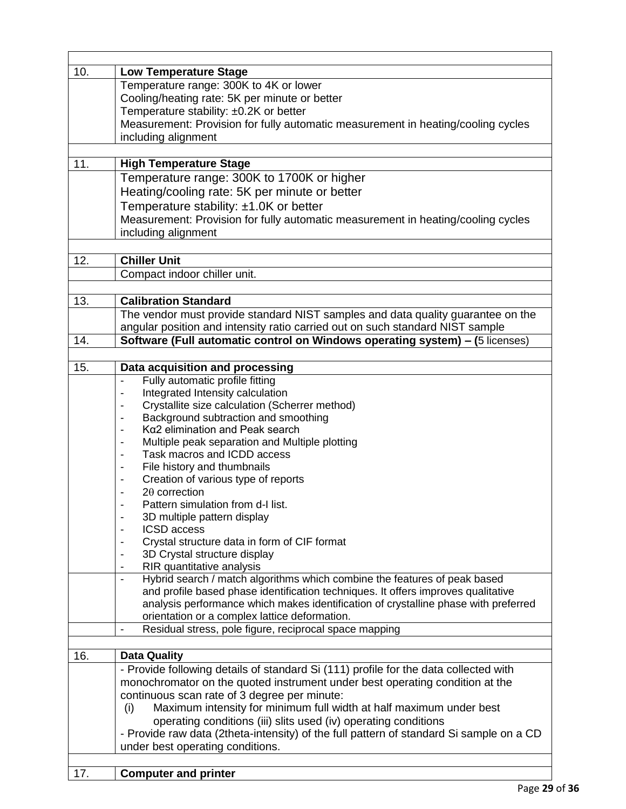| 10. | <b>Low Temperature Stage</b>                                                            |
|-----|-----------------------------------------------------------------------------------------|
|     | Temperature range: 300K to 4K or lower                                                  |
|     | Cooling/heating rate: 5K per minute or better                                           |
|     | Temperature stability: ±0.2K or better                                                  |
|     | Measurement: Provision for fully automatic measurement in heating/cooling cycles        |
|     | including alignment                                                                     |
| 11. | <b>High Temperature Stage</b>                                                           |
|     | Temperature range: 300K to 1700K or higher                                              |
|     | Heating/cooling rate: 5K per minute or better                                           |
|     | Temperature stability: ±1.0K or better                                                  |
|     | Measurement: Provision for fully automatic measurement in heating/cooling cycles        |
|     | including alignment                                                                     |
|     |                                                                                         |
| 12. | <b>Chiller Unit</b>                                                                     |
|     | Compact indoor chiller unit.                                                            |
| 13. | <b>Calibration Standard</b>                                                             |
|     | The vendor must provide standard NIST samples and data quality guarantee on the         |
|     | angular position and intensity ratio carried out on such standard NIST sample           |
| 14. | Software (Full automatic control on Windows operating system) - (5 licenses)            |
|     |                                                                                         |
| 15. | Data acquisition and processing                                                         |
|     | Fully automatic profile fitting<br>L,                                                   |
|     | Integrated Intensity calculation                                                        |
|     | Crystallite size calculation (Scherrer method)                                          |
|     | Background subtraction and smoothing                                                    |
|     | Ka2 elimination and Peak search                                                         |
|     | Multiple peak separation and Multiple plotting                                          |
|     | Task macros and ICDD access<br>٠                                                        |
|     | File history and thumbnails<br>٠                                                        |
|     | Creation of various type of reports<br>٠<br>$2\theta$ correction                        |
|     | Pattern simulation from d-I list.                                                       |
|     | 3D multiple pattern display                                                             |
|     | <b>ICSD</b> access                                                                      |
|     | Crystal structure data in form of CIF format                                            |
|     | 3D Crystal structure display                                                            |
|     | RIR quantitative analysis                                                               |
|     | Hybrid search / match algorithms which combine the features of peak based               |
|     | and profile based phase identification techniques. It offers improves qualitative       |
|     | analysis performance which makes identification of crystalline phase with preferred     |
|     | orientation or a complex lattice deformation.                                           |
|     | Residual stress, pole figure, reciprocal space mapping<br>$\blacksquare$                |
| 16. | <b>Data Quality</b>                                                                     |
|     | - Provide following details of standard Si (111) profile for the data collected with    |
|     | monochromator on the quoted instrument under best operating condition at the            |
|     | continuous scan rate of 3 degree per minute:                                            |
|     | Maximum intensity for minimum full width at half maximum under best<br>(i)              |
|     | operating conditions (iii) slits used (iv) operating conditions                         |
|     | - Provide raw data (2theta-intensity) of the full pattern of standard Si sample on a CD |
|     | under best operating conditions.                                                        |
|     |                                                                                         |
| 17. | <b>Computer and printer</b>                                                             |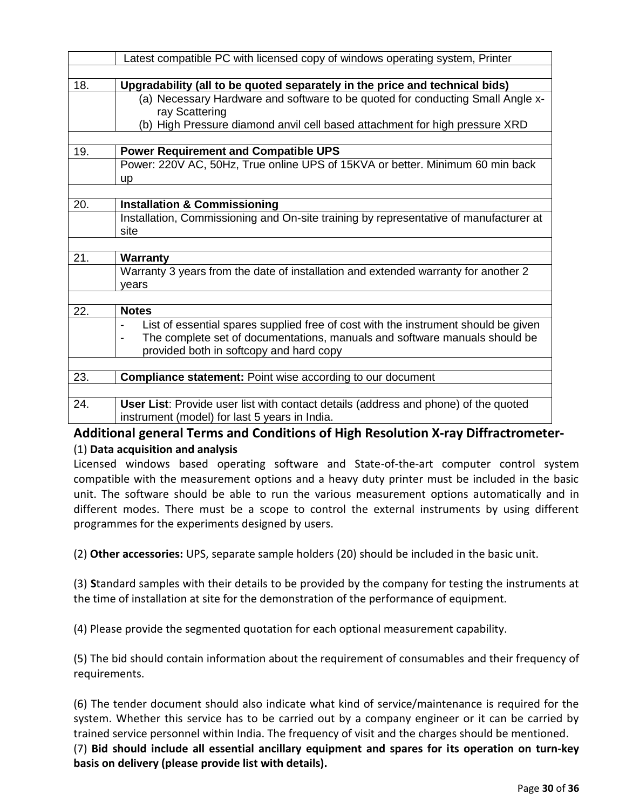|     | Latest compatible PC with licensed copy of windows operating system, Printer                               |
|-----|------------------------------------------------------------------------------------------------------------|
|     |                                                                                                            |
| 18. | Upgradability (all to be quoted separately in the price and technical bids)                                |
|     | (a) Necessary Hardware and software to be quoted for conducting Small Angle x-                             |
|     | ray Scattering                                                                                             |
|     | (b) High Pressure diamond anvil cell based attachment for high pressure XRD                                |
|     |                                                                                                            |
| 19. | <b>Power Requirement and Compatible UPS</b>                                                                |
|     | Power: 220V AC, 50Hz, True online UPS of 15KVA or better. Minimum 60 min back                              |
|     | up                                                                                                         |
|     |                                                                                                            |
| 20. | <b>Installation &amp; Commissioning</b>                                                                    |
|     | Installation, Commissioning and On-site training by representative of manufacturer at                      |
|     | site                                                                                                       |
|     |                                                                                                            |
| 21. | <b>Warranty</b>                                                                                            |
|     | Warranty 3 years from the date of installation and extended warranty for another 2                         |
|     | years                                                                                                      |
|     |                                                                                                            |
| 22. | <b>Notes</b>                                                                                               |
|     | List of essential spares supplied free of cost with the instrument should be given                         |
|     | The complete set of documentations, manuals and software manuals should be<br>$\qquad \qquad \blacksquare$ |
|     | provided both in softcopy and hard copy                                                                    |
|     |                                                                                                            |
| 23. | <b>Compliance statement:</b> Point wise according to our document                                          |
|     |                                                                                                            |
| 24. | User List: Provide user list with contact details (address and phone) of the quoted                        |
|     | instrument (model) for last 5 years in India.                                                              |

## **Additional general Terms and Conditions of High Resolution X-ray Diffractrometer-** (1) **Data acquisition and analysis**

Licensed windows based operating software and State-of-the-art computer control system compatible with the measurement options and a heavy duty printer must be included in the basic unit. The software should be able to run the various measurement options automatically and in different modes. There must be a scope to control the external instruments by using different programmes for the experiments designed by users.

(2) **Other accessories:** UPS, separate sample holders (20) should be included in the basic unit.

(3) **S**tandard samples with their details to be provided by the company for testing the instruments at the time of installation at site for the demonstration of the performance of equipment.

(4) Please provide the segmented quotation for each optional measurement capability.

(5) The bid should contain information about the requirement of consumables and their frequency of requirements.

(6) The tender document should also indicate what kind of service/maintenance is required for the system. Whether this service has to be carried out by a company engineer or it can be carried by trained service personnel within India. The frequency of visit and the charges should be mentioned.

(7) **Bid should include all essential ancillary equipment and spares for its operation on turn-key basis on delivery (please provide list with details).**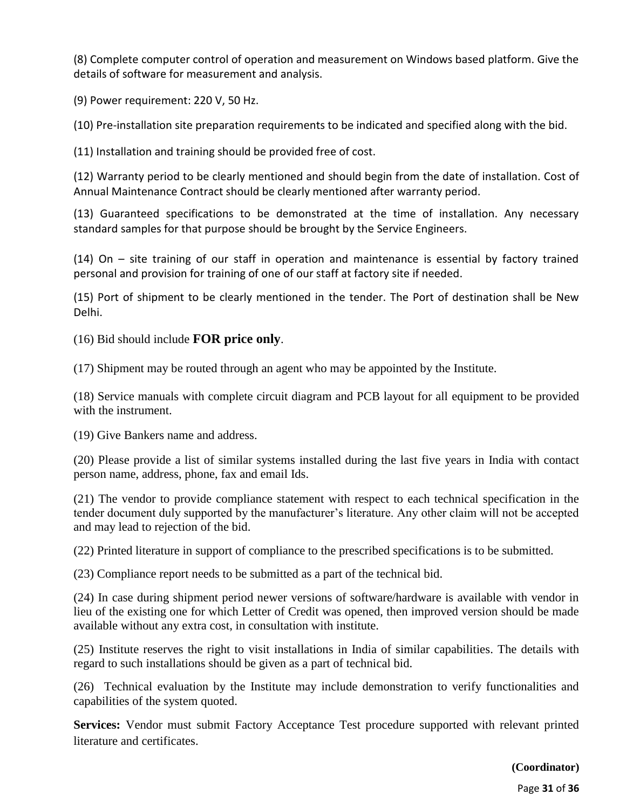(8) Complete computer control of operation and measurement on Windows based platform. Give the details of software for measurement and analysis.

(9) Power requirement: 220 V, 50 Hz.

(10) Pre-installation site preparation requirements to be indicated and specified along with the bid.

(11) Installation and training should be provided free of cost.

(12) Warranty period to be clearly mentioned and should begin from the date of installation. Cost of Annual Maintenance Contract should be clearly mentioned after warranty period.

(13) Guaranteed specifications to be demonstrated at the time of installation. Any necessary standard samples for that purpose should be brought by the Service Engineers.

(14) On – site training of our staff in operation and maintenance is essential by factory trained personal and provision for training of one of our staff at factory site if needed.

(15) Port of shipment to be clearly mentioned in the tender. The Port of destination shall be New Delhi.

(16) Bid should include **FOR price only**.

(17) Shipment may be routed through an agent who may be appointed by the Institute.

(18) Service manuals with complete circuit diagram and PCB layout for all equipment to be provided with the instrument.

(19) Give Bankers name and address.

(20) Please provide a list of similar systems installed during the last five years in India with contact person name, address, phone, fax and email Ids.

(21) The vendor to provide compliance statement with respect to each technical specification in the tender document duly supported by the manufacturer's literature. Any other claim will not be accepted and may lead to rejection of the bid.

(22) Printed literature in support of compliance to the prescribed specifications is to be submitted.

(23) Compliance report needs to be submitted as a part of the technical bid.

(24) In case during shipment period newer versions of software/hardware is available with vendor in lieu of the existing one for which Letter of Credit was opened, then improved version should be made available without any extra cost, in consultation with institute.

(25) Institute reserves the right to visit installations in India of similar capabilities. The details with regard to such installations should be given as a part of technical bid.

(26) Technical evaluation by the Institute may include demonstration to verify functionalities and capabilities of the system quoted.

**Services:** Vendor must submit Factory Acceptance Test procedure supported with relevant printed literature and certificates.

**(Coordinator)**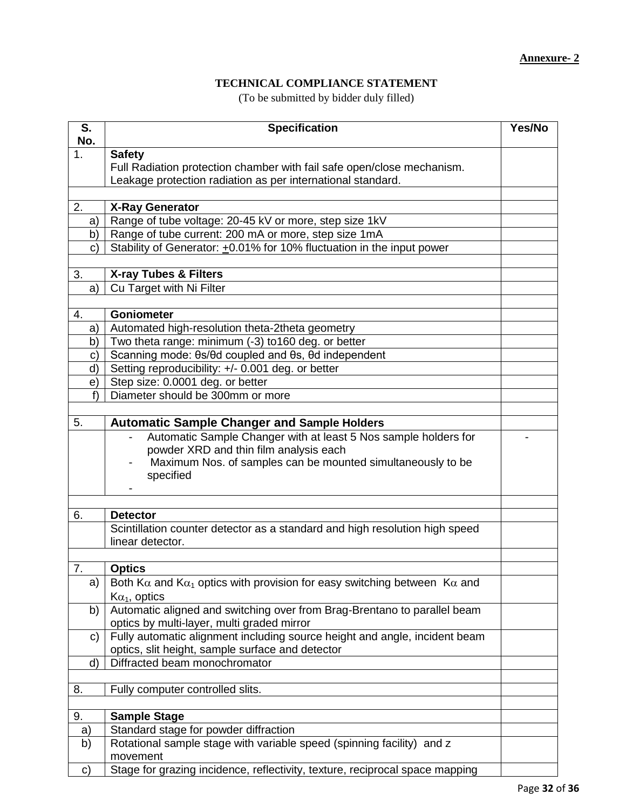## **TECHNICAL COMPLIANCE STATEMENT**

(To be submitted by bidder duly filled)

| S.<br>No.    | <b>Specification</b>                                                                             | Yes/No |
|--------------|--------------------------------------------------------------------------------------------------|--------|
| 1.           | <b>Safety</b>                                                                                    |        |
|              | Full Radiation protection chamber with fail safe open/close mechanism.                           |        |
|              | Leakage protection radiation as per international standard.                                      |        |
|              |                                                                                                  |        |
| 2.           | <b>X-Ray Generator</b>                                                                           |        |
| a)           | Range of tube voltage: 20-45 kV or more, step size 1kV                                           |        |
| b)           | Range of tube current: 200 mA or more, step size 1mA                                             |        |
| $\mathbf{C}$ | Stability of Generator: +0.01% for 10% fluctuation in the input power                            |        |
| 3.           | <b>X-ray Tubes &amp; Filters</b>                                                                 |        |
| a)           | Cu Target with Ni Filter                                                                         |        |
|              |                                                                                                  |        |
| 4.           | <b>Goniometer</b>                                                                                |        |
| a)           | Automated high-resolution theta-2theta geometry                                                  |        |
| b)           | Two theta range: minimum (-3) to 160 deg. or better                                              |        |
| $\mathbf{C}$ | Scanning mode: 0s/0d coupled and 0s, 0d independent                                              |        |
| d)           | Setting reproducibility: +/- 0.001 deg. or better                                                |        |
| e)           | Step size: 0.0001 deg. or better                                                                 |        |
| f            | Diameter should be 300mm or more                                                                 |        |
|              |                                                                                                  |        |
| 5.           | <b>Automatic Sample Changer and Sample Holders</b>                                               |        |
|              | Automatic Sample Changer with at least 5 Nos sample holders for                                  |        |
|              | powder XRD and thin film analysis each                                                           |        |
|              | Maximum Nos. of samples can be mounted simultaneously to be                                      |        |
|              | specified                                                                                        |        |
|              |                                                                                                  |        |
|              |                                                                                                  |        |
| 6.           | <b>Detector</b>                                                                                  |        |
|              | Scintillation counter detector as a standard and high resolution high speed<br>linear detector.  |        |
|              |                                                                                                  |        |
| 7.           | <b>Optics</b>                                                                                    |        |
| a)           | Both K $\alpha$ and K $\alpha_1$ optics with provision for easy switching between K $\alpha$ and |        |
|              | $\text{K}\alpha_1$ , optics                                                                      |        |
| b)           | Automatic aligned and switching over from Brag-Brentano to parallel beam                         |        |
|              | optics by multi-layer, multi graded mirror                                                       |        |
| $\mathbf{C}$ | Fully automatic alignment including source height and angle, incident beam                       |        |
|              | optics, slit height, sample surface and detector                                                 |        |
| d)           | Diffracted beam monochromator                                                                    |        |
|              |                                                                                                  |        |
| 8.           | Fully computer controlled slits.                                                                 |        |
|              |                                                                                                  |        |
| 9.           | <b>Sample Stage</b>                                                                              |        |
| a)           | Standard stage for powder diffraction                                                            |        |
| b)           | Rotational sample stage with variable speed (spinning facility) and z                            |        |
|              | movement<br>Stage for grazing incidence, reflectivity, texture, reciprocal space mapping         |        |
| C)           |                                                                                                  |        |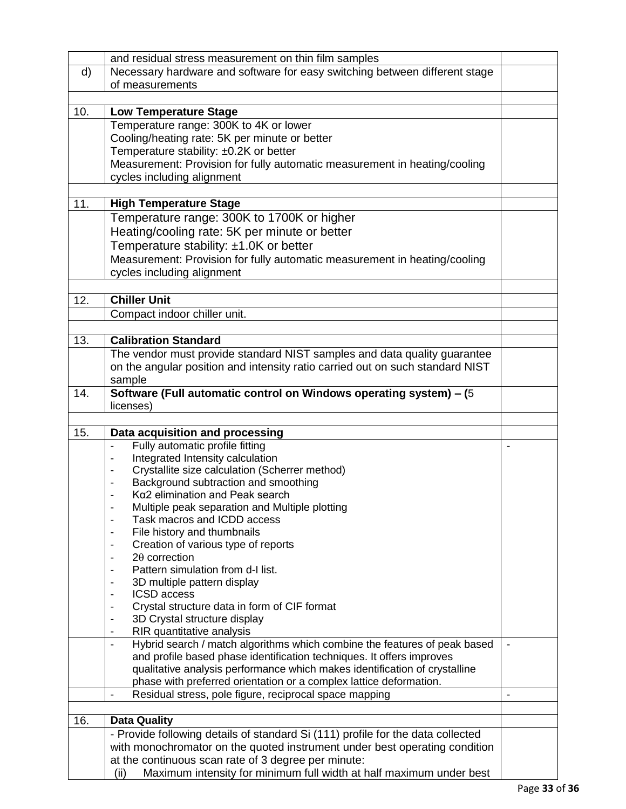|     | and residual stress measurement on thin film samples                                       |  |
|-----|--------------------------------------------------------------------------------------------|--|
| d)  | Necessary hardware and software for easy switching between different stage                 |  |
|     | of measurements                                                                            |  |
|     |                                                                                            |  |
| 10. | <b>Low Temperature Stage</b>                                                               |  |
|     | Temperature range: 300K to 4K or lower                                                     |  |
|     | Cooling/heating rate: 5K per minute or better                                              |  |
|     | Temperature stability: ±0.2K or better                                                     |  |
|     | Measurement: Provision for fully automatic measurement in heating/cooling                  |  |
|     | cycles including alignment                                                                 |  |
|     |                                                                                            |  |
| 11. |                                                                                            |  |
|     | <b>High Temperature Stage</b>                                                              |  |
|     | Temperature range: 300K to 1700K or higher                                                 |  |
|     | Heating/cooling rate: 5K per minute or better                                              |  |
|     | Temperature stability: ±1.0K or better                                                     |  |
|     | Measurement: Provision for fully automatic measurement in heating/cooling                  |  |
|     | cycles including alignment                                                                 |  |
|     |                                                                                            |  |
| 12. | <b>Chiller Unit</b>                                                                        |  |
|     | Compact indoor chiller unit.                                                               |  |
|     |                                                                                            |  |
| 13. | <b>Calibration Standard</b>                                                                |  |
|     | The vendor must provide standard NIST samples and data quality guarantee                   |  |
|     | on the angular position and intensity ratio carried out on such standard NIST              |  |
|     | sample                                                                                     |  |
| 14. | Software (Full automatic control on Windows operating system) - (5)                        |  |
|     | licenses)                                                                                  |  |
|     |                                                                                            |  |
|     |                                                                                            |  |
|     |                                                                                            |  |
| 15. | Data acquisition and processing                                                            |  |
|     | Fully automatic profile fitting<br>$\blacksquare$                                          |  |
|     | Integrated Intensity calculation                                                           |  |
|     | Crystallite size calculation (Scherrer method)                                             |  |
|     | Background subtraction and smoothing                                                       |  |
|     | Ka2 elimination and Peak search                                                            |  |
|     | Multiple peak separation and Multiple plotting<br>$\blacksquare$                           |  |
|     | Task macros and ICDD access                                                                |  |
|     | File history and thumbnails                                                                |  |
|     | Creation of various type of reports                                                        |  |
|     | $2\theta$ correction                                                                       |  |
|     | Pattern simulation from d-I list.                                                          |  |
|     | 3D multiple pattern display<br><b>ICSD</b> access                                          |  |
|     |                                                                                            |  |
|     | Crystal structure data in form of CIF format<br>3D Crystal structure display               |  |
|     | RIR quantitative analysis                                                                  |  |
|     | Hybrid search / match algorithms which combine the features of peak based<br>$\frac{1}{2}$ |  |
|     | and profile based phase identification techniques. It offers improves                      |  |
|     | qualitative analysis performance which makes identification of crystalline                 |  |
|     | phase with preferred orientation or a complex lattice deformation.                         |  |
|     | Residual stress, pole figure, reciprocal space mapping<br>$\blacksquare$                   |  |
|     |                                                                                            |  |
| 16. | <b>Data Quality</b>                                                                        |  |
|     | - Provide following details of standard Si (111) profile for the data collected            |  |
|     | with monochromator on the quoted instrument under best operating condition                 |  |
|     | at the continuous scan rate of 3 degree per minute:                                        |  |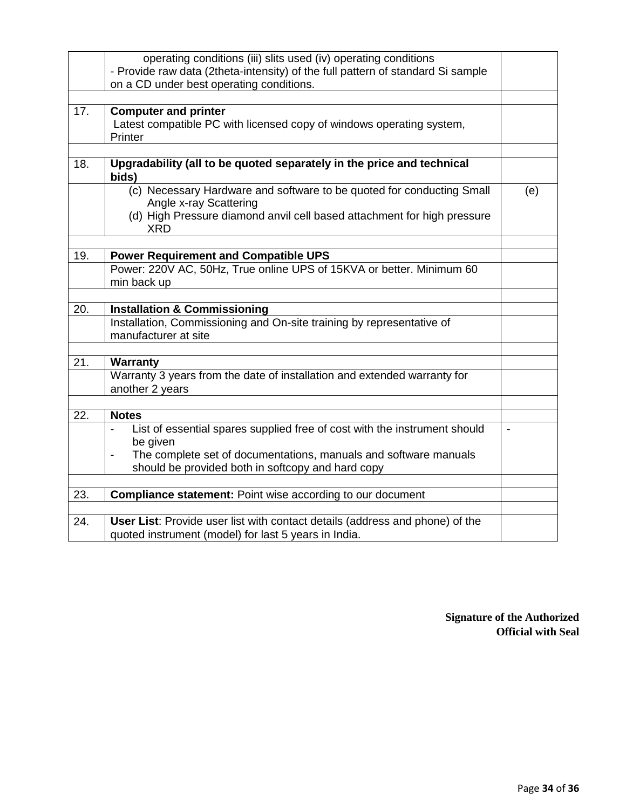|     | operating conditions (iii) slits used (iv) operating conditions                                  |                          |
|-----|--------------------------------------------------------------------------------------------------|--------------------------|
|     | - Provide raw data (2theta-intensity) of the full pattern of standard Si sample                  |                          |
|     | on a CD under best operating conditions.                                                         |                          |
|     |                                                                                                  |                          |
| 17. | <b>Computer and printer</b>                                                                      |                          |
|     | Latest compatible PC with licensed copy of windows operating system,                             |                          |
|     | Printer                                                                                          |                          |
|     |                                                                                                  |                          |
| 18. | Upgradability (all to be quoted separately in the price and technical<br>bids)                   |                          |
|     | (c) Necessary Hardware and software to be quoted for conducting Small<br>Angle x-ray Scattering  | (e)                      |
|     | (d) High Pressure diamond anvil cell based attachment for high pressure                          |                          |
|     | XRD                                                                                              |                          |
|     |                                                                                                  |                          |
| 19. | <b>Power Requirement and Compatible UPS</b>                                                      |                          |
|     | Power: 220V AC, 50Hz, True online UPS of 15KVA or better. Minimum 60                             |                          |
|     | min back up                                                                                      |                          |
|     |                                                                                                  |                          |
| 20. | <b>Installation &amp; Commissioning</b>                                                          |                          |
|     | Installation, Commissioning and On-site training by representative of                            |                          |
|     | manufacturer at site                                                                             |                          |
|     |                                                                                                  |                          |
| 21. | Warranty                                                                                         |                          |
|     | Warranty 3 years from the date of installation and extended warranty for                         |                          |
|     | another 2 years                                                                                  |                          |
|     |                                                                                                  |                          |
| 22. | <b>Notes</b>                                                                                     |                          |
|     | List of essential spares supplied free of cost with the instrument should                        | $\overline{\phantom{a}}$ |
|     | be given                                                                                         |                          |
|     | The complete set of documentations, manuals and software manuals<br>$\qquad \qquad \blacksquare$ |                          |
|     | should be provided both in softcopy and hard copy                                                |                          |
|     |                                                                                                  |                          |
| 23. | <b>Compliance statement: Point wise according to our document</b>                                |                          |
|     |                                                                                                  |                          |
| 24. | User List: Provide user list with contact details (address and phone) of the                     |                          |
|     | quoted instrument (model) for last 5 years in India.                                             |                          |

**Signature of the Authorized Official with Seal**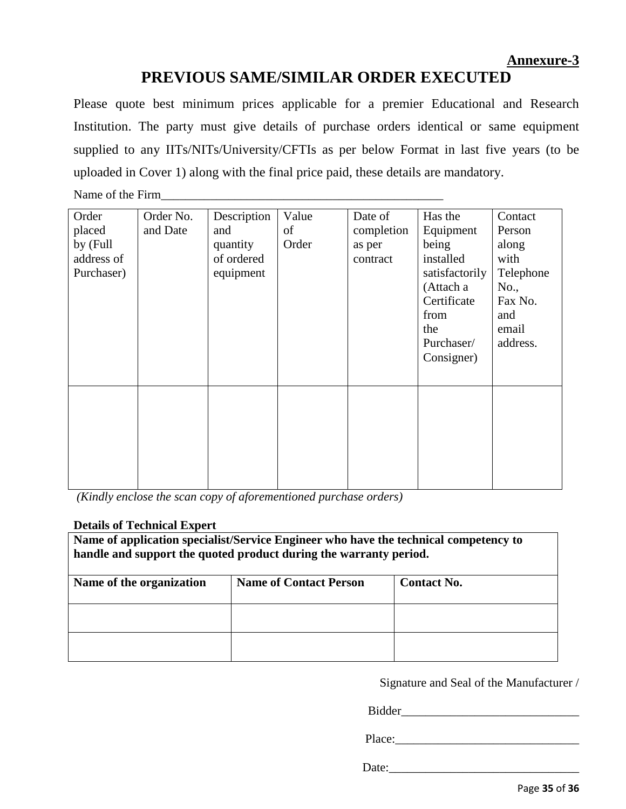## **PREVIOUS SAME/SIMILAR ORDER EXECUTED**

Please quote best minimum prices applicable for a premier Educational and Research Institution. The party must give details of purchase orders identical or same equipment supplied to any IITs/NITs/University/CFTIs as per below Format in last five years (to be uploaded in Cover 1) along with the final price paid, these details are mandatory.

Name of the Firm\_\_\_\_\_\_\_\_\_\_\_\_\_\_\_\_\_\_\_\_\_\_\_\_\_\_\_\_\_\_\_\_\_\_\_\_\_\_\_\_\_\_\_\_\_\_

| Order<br>placed<br>by (Full<br>address of<br>Purchaser) | Order No.<br>and Date | Description<br>and<br>quantity<br>of ordered<br>equipment | Value<br>of<br>Order | Date of<br>completion<br>as per<br>contract | Has the<br>Equipment<br>being<br>installed<br>satisfactorily<br>(Attach a<br>Certificate<br>from<br>the<br>Purchaser/<br>Consigner) | Contact<br>Person<br>along<br>with<br>Telephone<br>No.,<br>Fax No.<br>and<br>email<br>address. |
|---------------------------------------------------------|-----------------------|-----------------------------------------------------------|----------------------|---------------------------------------------|-------------------------------------------------------------------------------------------------------------------------------------|------------------------------------------------------------------------------------------------|
|                                                         |                       |                                                           |                      |                                             |                                                                                                                                     |                                                                                                |

*(Kindly enclose the scan copy of aforementioned purchase orders)*

## **Details of Technical Expert**

| Name of application specialist/Service Engineer who have the technical competency to<br>handle and support the quoted product during the warranty period. |                               |                    |  |  |  |  |
|-----------------------------------------------------------------------------------------------------------------------------------------------------------|-------------------------------|--------------------|--|--|--|--|
| Name of the organization                                                                                                                                  | <b>Name of Contact Person</b> | <b>Contact No.</b> |  |  |  |  |
|                                                                                                                                                           |                               |                    |  |  |  |  |
|                                                                                                                                                           |                               |                    |  |  |  |  |

Signature and Seal of the Manufacturer /

Bidder

Place:\_\_\_\_\_\_\_\_\_\_\_\_\_\_\_\_\_\_\_\_\_\_\_\_\_\_\_\_\_\_

Date:\_\_\_\_\_\_\_\_\_\_\_\_\_\_\_\_\_\_\_\_\_\_\_\_\_\_\_\_\_\_\_